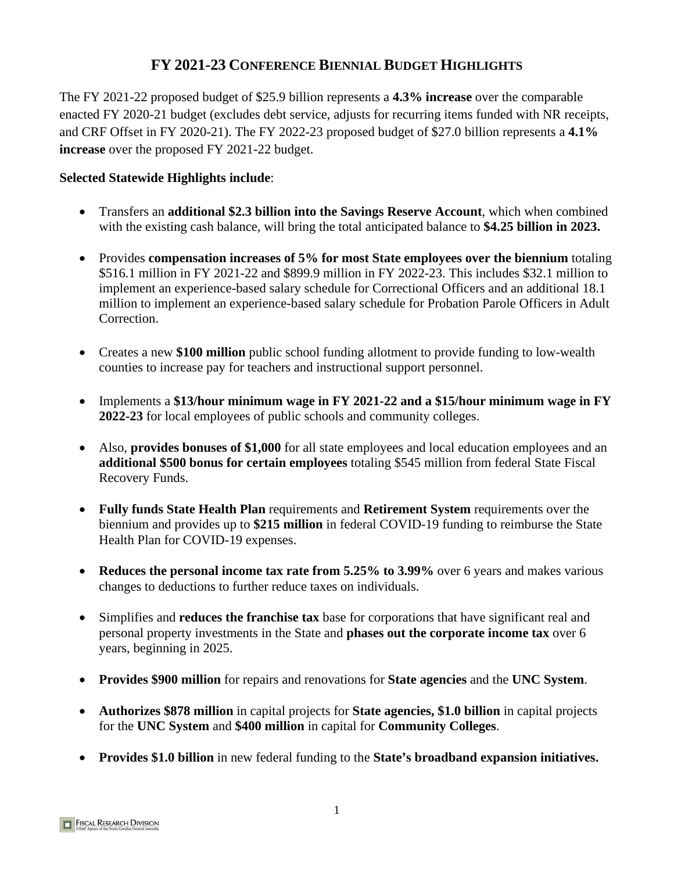# **FY 2021-23 CONFERENCE BIENNIAL BUDGET HIGHLIGHTS**

The FY 2021-22 proposed budget of \$25.9 billion represents a **4.3% increase** over the comparable enacted FY 2020-21 budget (excludes debt service, adjusts for recurring items funded with NR receipts, and CRF Offset in FY 2020-21). The FY 2022-23 proposed budget of \$27.0 billion represents a **4.1% increase** over the proposed FY 2021-22 budget.

# **Selected Statewide Highlights include**:

- Transfers an **additional \$2.3 billion into the Savings Reserve Account**, which when combined with the existing cash balance, will bring the total anticipated balance to **\$4.25 billion in 2023.**
- Provides **compensation increases of 5% for most State employees over the biennium** totaling \$516.1 million in FY 2021-22 and \$899.9 million in FY 2022-23. This includes \$32.1 million to implement an experience-based salary schedule for Correctional Officers and an additional 18.1 million to implement an experience-based salary schedule for Probation Parole Officers in Adult Correction.
- Creates a new **\$100 million** public school funding allotment to provide funding to low-wealth counties to increase pay for teachers and instructional support personnel.
- Implements a **\$13/hour minimum wage in FY 2021-22 and a \$15/hour minimum wage in FY 2022-23** for local employees of public schools and community colleges.
- Also, **provides bonuses of \$1,000** for all state employees and local education employees and an **additional \$500 bonus for certain employees** totaling \$545 million from federal State Fiscal Recovery Funds.
- **Fully funds State Health Plan** requirements and **Retirement System** requirements over the biennium and provides up to **\$215 million** in federal COVID-19 funding to reimburse the State Health Plan for COVID-19 expenses.
- **Reduces the personal income tax rate from 5.25% to 3.99%** over 6 years and makes various changes to deductions to further reduce taxes on individuals.
- Simplifies and **reduces the franchise tax** base for corporations that have significant real and personal property investments in the State and **phases out the corporate income tax** over 6 years, beginning in 2025.
- **Provides \$900 million** for repairs and renovations for **State agencies** and the **UNC System**.
- **Authorizes \$878 million** in capital projects for **State agencies, \$1.0 billion** in capital projects for the **UNC System** and **\$400 million** in capital for **Community Colleges**.
- **Provides \$1.0 billion** in new federal funding to the **State's broadband expansion initiatives.**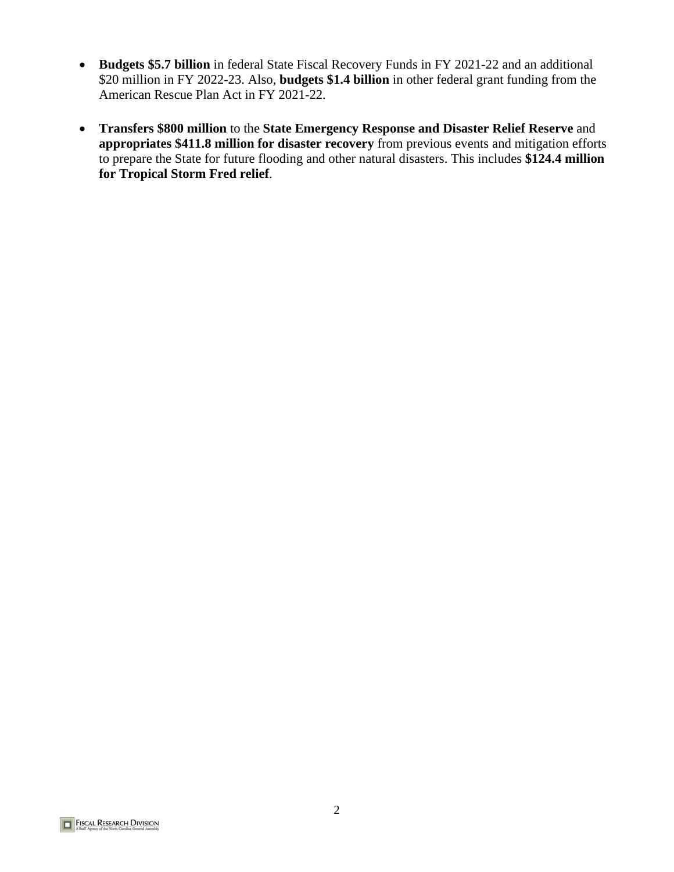- **Budgets \$5.7 billion** in federal State Fiscal Recovery Funds in FY 2021-22 and an additional \$20 million in FY 2022-23. Also, **budgets \$1.4 billion** in other federal grant funding from the American Rescue Plan Act in FY 2021-22.
- **Transfers \$800 million** to the **State Emergency Response and Disaster Relief Reserve** and **appropriates \$411.8 million for disaster recovery** from previous events and mitigation efforts to prepare the State for future flooding and other natural disasters. This includes **\$124.4 million for Tropical Storm Fred relief**.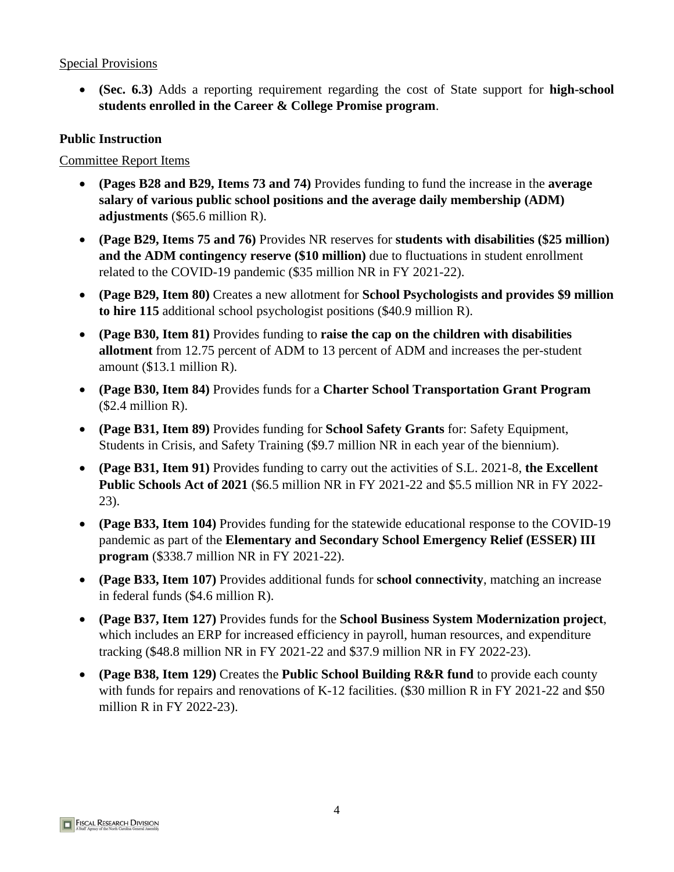• **(Sec. 6.3)** Adds a reporting requirement regarding the cost of State support for **high-school students enrolled in the Career & College Promise program**.

#### **Public Instruction**

- **(Pages B28 and B29, Items 73 and 74)** Provides funding to fund the increase in the **average salary of various public school positions and the average daily membership (ADM) adjustments** (\$65.6 million R).
- **(Page B29, Items 75 and 76)** Provides NR reserves for **students with disabilities (\$25 million) and the ADM contingency reserve (\$10 million)** due to fluctuations in student enrollment related to the COVID-19 pandemic (\$35 million NR in FY 2021-22).
- **(Page B29, Item 80)** Creates a new allotment for **School Psychologists and provides \$9 million to hire 115** additional school psychologist positions (\$40.9 million R).
- **(Page B30, Item 81)** Provides funding to **raise the cap on the children with disabilities allotment** from 12.75 percent of ADM to 13 percent of ADM and increases the per-student amount (\$13.1 million R).
- **(Page B30, Item 84)** Provides funds for a **Charter School Transportation Grant Program** (\$2.4 million R).
- **(Page B31, Item 89)** Provides funding for **School Safety Grants** for: Safety Equipment, Students in Crisis, and Safety Training (\$9.7 million NR in each year of the biennium).
- **(Page B31, Item 91)** Provides funding to carry out the activities of S.L. 2021-8, **the Excellent Public Schools Act of 2021** (\$6.5 million NR in FY 2021-22 and \$5.5 million NR in FY 2022- 23).
- **(Page B33, Item 104)** Provides funding for the statewide educational response to the COVID-19 pandemic as part of the **Elementary and Secondary School Emergency Relief (ESSER) III program** (\$338.7 million NR in FY 2021-22).
- **(Page B33, Item 107)** Provides additional funds for **school connectivity**, matching an increase in federal funds (\$4.6 million R).
- **(Page B37, Item 127)** Provides funds for the **School Business System Modernization project**, which includes an ERP for increased efficiency in payroll, human resources, and expenditure tracking (\$48.8 million NR in FY 2021-22 and \$37.9 million NR in FY 2022-23).
- **(Page B38, Item 129)** Creates the **Public School Building R&R fund** to provide each county with funds for repairs and renovations of K-12 facilities. (\$30 million R in FY 2021-22 and \$50 million R in FY 2022-23).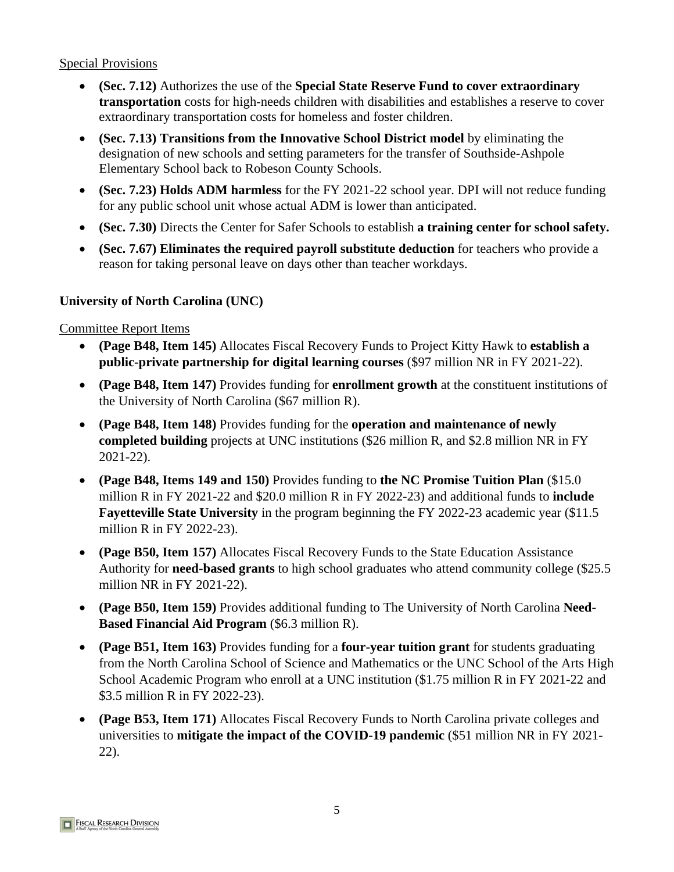- **(Sec. 7.12)** Authorizes the use of the **Special State Reserve Fund to cover extraordinary transportation** costs for high-needs children with disabilities and establishes a reserve to cover extraordinary transportation costs for homeless and foster children.
- **(Sec. 7.13) Transitions from the Innovative School District model** by eliminating the designation of new schools and setting parameters for the transfer of Southside-Ashpole Elementary School back to Robeson County Schools.
- **(Sec. 7.23) Holds ADM harmless** for the FY 2021-22 school year. DPI will not reduce funding for any public school unit whose actual ADM is lower than anticipated.
- **(Sec. 7.30)** Directs the Center for Safer Schools to establish **a training center for school safety.**
- **(Sec. 7.67) Eliminates the required payroll substitute deduction** for teachers who provide a reason for taking personal leave on days other than teacher workdays.

# **University of North Carolina (UNC)**

- **(Page B48, Item 145)** Allocates Fiscal Recovery Funds to Project Kitty Hawk to **establish a public-private partnership for digital learning courses** (\$97 million NR in FY 2021-22).
- **(Page B48, Item 147)** Provides funding for **enrollment growth** at the constituent institutions of the University of North Carolina (\$67 million R).
- **(Page B48, Item 148)** Provides funding for the **operation and maintenance of newly completed building** projects at UNC institutions (\$26 million R, and \$2.8 million NR in FY 2021-22).
- **(Page B48, Items 149 and 150)** Provides funding to **the NC Promise Tuition Plan** (\$15.0 million R in FY 2021-22 and \$20.0 million R in FY 2022-23) and additional funds to **include Fayetteville State University** in the program beginning the FY 2022-23 academic year (\$11.5 million R in FY 2022-23).
- **(Page B50, Item 157)** Allocates Fiscal Recovery Funds to the State Education Assistance Authority for **need-based grants** to high school graduates who attend community college (\$25.5 million NR in FY 2021-22).
- **(Page B50, Item 159)** Provides additional funding to The University of North Carolina **Need-Based Financial Aid Program** (\$6.3 million R).
- **(Page B51, Item 163)** Provides funding for a **four-year tuition grant** for students graduating from the North Carolina School of Science and Mathematics or the UNC School of the Arts High School Academic Program who enroll at a UNC institution (\$1.75 million R in FY 2021-22 and \$3.5 million R in FY 2022-23).
- **(Page B53, Item 171)** Allocates Fiscal Recovery Funds to North Carolina private colleges and universities to **mitigate the impact of the COVID-19 pandemic** (\$51 million NR in FY 2021- 22).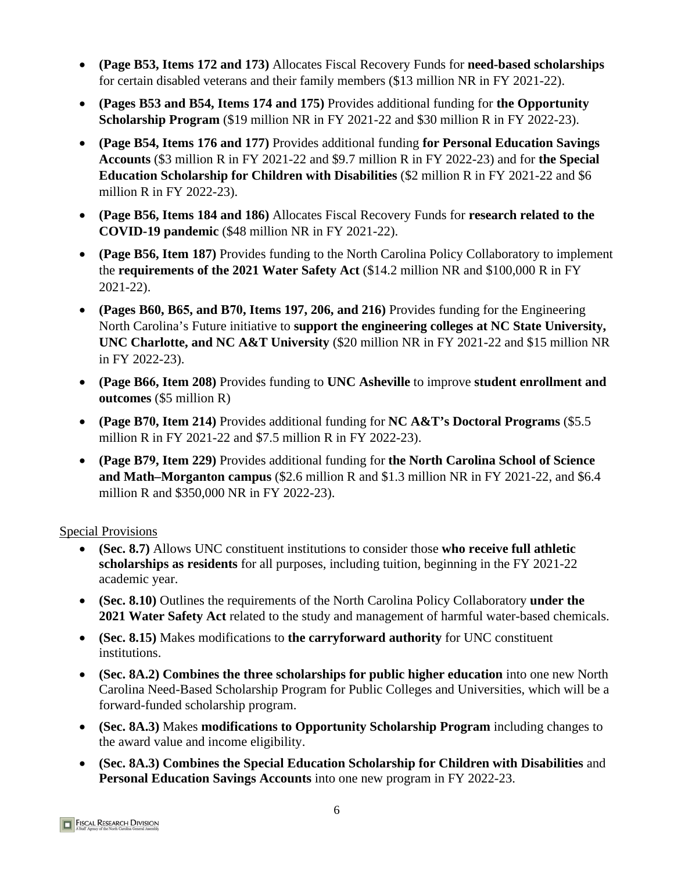- **(Page B53, Items 172 and 173)** Allocates Fiscal Recovery Funds for **need-based scholarships** for certain disabled veterans and their family members (\$13 million NR in FY 2021-22).
- **(Pages B53 and B54, Items 174 and 175)** Provides additional funding for **the Opportunity Scholarship Program** (\$19 million NR in FY 2021-22 and \$30 million R in FY 2022-23).
- **(Page B54, Items 176 and 177)** Provides additional funding **for Personal Education Savings Accounts** (\$3 million R in FY 2021-22 and \$9.7 million R in FY 2022-23) and for **the Special Education Scholarship for Children with Disabilities** (\$2 million R in FY 2021-22 and \$6 million R in FY 2022-23).
- **(Page B56, Items 184 and 186)** Allocates Fiscal Recovery Funds for **research related to the COVID-19 pandemic** (\$48 million NR in FY 2021-22).
- **(Page B56, Item 187)** Provides funding to the North Carolina Policy Collaboratory to implement the **requirements of the 2021 Water Safety Act** (\$14.2 million NR and \$100,000 R in FY 2021-22).
- **(Pages B60, B65, and B70, Items 197, 206, and 216)** Provides funding for the Engineering North Carolina's Future initiative to **support the engineering colleges at NC State University, UNC Charlotte, and NC A&T University** (\$20 million NR in FY 2021-22 and \$15 million NR in FY 2022-23).
- **(Page B66, Item 208)** Provides funding to **UNC Asheville** to improve **student enrollment and outcomes** (\$5 million R)
- **(Page B70, Item 214)** Provides additional funding for **NC A&T's Doctoral Programs** (\$5.5 million R in FY 2021-22 and \$7.5 million R in FY 2022-23).
- **(Page B79, Item 229)** Provides additional funding for **the North Carolina School of Science and Math–Morganton campus** (\$2.6 million R and \$1.3 million NR in FY 2021-22, and \$6.4 million R and \$350,000 NR in FY 2022-23).

- **(Sec. 8.7)** Allows UNC constituent institutions to consider those **who receive full athletic scholarships as residents** for all purposes, including tuition, beginning in the FY 2021-22 academic year.
- **(Sec. 8.10)** Outlines the requirements of the North Carolina Policy Collaboratory **under the 2021 Water Safety Act** related to the study and management of harmful water-based chemicals.
- **(Sec. 8.15)** Makes modifications to **the carryforward authority** for UNC constituent institutions.
- **(Sec. 8A.2) Combines the three scholarships for public higher education** into one new North Carolina Need-Based Scholarship Program for Public Colleges and Universities, which will be a forward-funded scholarship program.
- **(Sec. 8A.3)** Makes **modifications to Opportunity Scholarship Program** including changes to the award value and income eligibility.
- **(Sec. 8A.3) Combines the Special Education Scholarship for Children with Disabilities** and **Personal Education Savings Accounts** into one new program in FY 2022-23.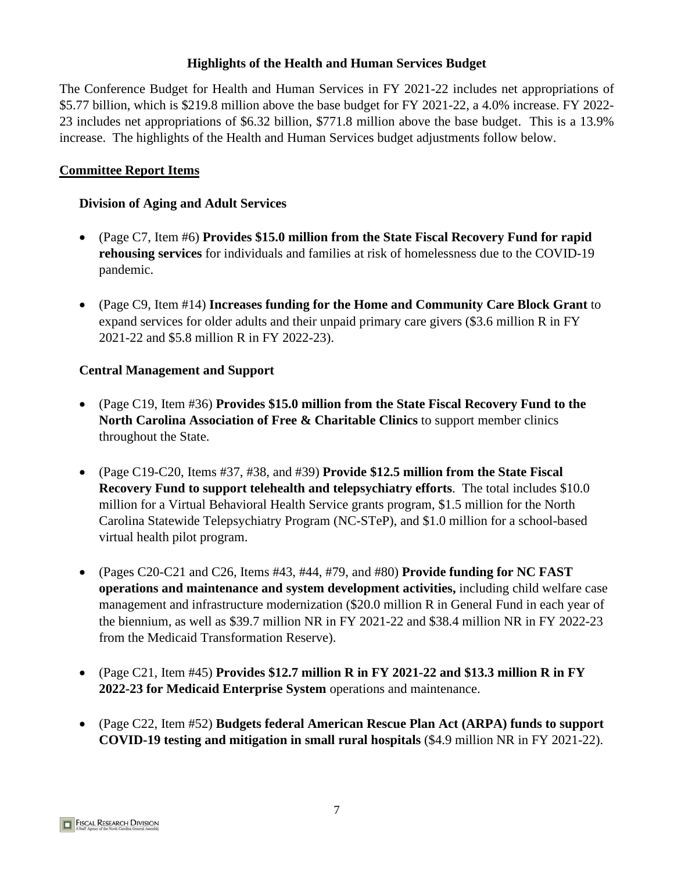# **Highlights of the Health and Human Services Budget**

The Conference Budget for Health and Human Services in FY 2021-22 includes net appropriations of \$5.77 billion, which is \$219.8 million above the base budget for FY 2021-22, a 4.0% increase. FY 2022- 23 includes net appropriations of \$6.32 billion, \$771.8 million above the base budget. This is a 13.9% increase. The highlights of the Health and Human Services budget adjustments follow below.

# **Committee Report Items**

#### **Division of Aging and Adult Services**

- (Page C7, Item #6) **Provides \$15.0 million from the State Fiscal Recovery Fund for rapid rehousing services** for individuals and families at risk of homelessness due to the COVID-19 pandemic.
- (Page C9, Item #14) **Increases funding for the Home and Community Care Block Grant** to expand services for older adults and their unpaid primary care givers (\$3.6 million R in FY 2021-22 and \$5.8 million R in FY 2022-23).

#### **Central Management and Support**

- (Page C19, Item #36) **Provides \$15.0 million from the State Fiscal Recovery Fund to the North Carolina Association of Free & Charitable Clinics** to support member clinics throughout the State.
- (Page C19-C20, Items #37, #38, and #39) **Provide \$12.5 million from the State Fiscal Recovery Fund to support telehealth and telepsychiatry efforts**. The total includes \$10.0 million for a Virtual Behavioral Health Service grants program, \$1.5 million for the North Carolina Statewide Telepsychiatry Program (NC-STeP), and \$1.0 million for a school-based virtual health pilot program.
- (Pages C20-C21 and C26, Items #43, #44, #79, and #80) **Provide funding for NC FAST operations and maintenance and system development activities,** including child welfare case management and infrastructure modernization (\$20.0 million R in General Fund in each year of the biennium, as well as \$39.7 million NR in FY 2021-22 and \$38.4 million NR in FY 2022-23 from the Medicaid Transformation Reserve).
- (Page C21, Item #45) **Provides \$12.7 million R in FY 2021-22 and \$13.3 million R in FY 2022-23 for Medicaid Enterprise System** operations and maintenance.
- (Page C22, Item #52) **Budgets federal American Rescue Plan Act (ARPA) funds to support COVID-19 testing and mitigation in small rural hospitals** (\$4.9 million NR in FY 2021-22).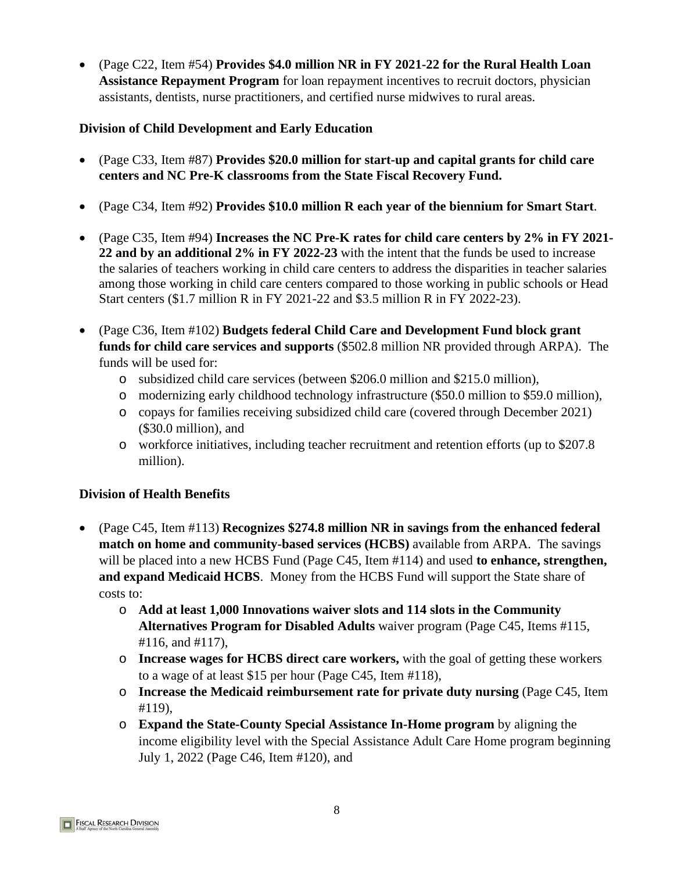• (Page C22, Item #54) **Provides \$4.0 million NR in FY 2021-22 for the Rural Health Loan Assistance Repayment Program** for loan repayment incentives to recruit doctors, physician assistants, dentists, nurse practitioners, and certified nurse midwives to rural areas.

# **Division of Child Development and Early Education**

- (Page C33, Item #87) **Provides \$20.0 million for start-up and capital grants for child care centers and NC Pre-K classrooms from the State Fiscal Recovery Fund.**
- (Page C34, Item #92) **Provides \$10.0 million R each year of the biennium for Smart Start**.
- (Page C35, Item #94) **Increases the NC Pre-K rates for child care centers by 2% in FY 2021- 22 and by an additional 2% in FY 2022-23** with the intent that the funds be used to increase the salaries of teachers working in child care centers to address the disparities in teacher salaries among those working in child care centers compared to those working in public schools or Head Start centers (\$1.7 million R in FY 2021-22 and \$3.5 million R in FY 2022-23).
- (Page C36, Item #102) **Budgets federal Child Care and Development Fund block grant funds for child care services and supports** (\$502.8 million NR provided through ARPA). The funds will be used for:
	- o subsidized child care services (between \$206.0 million and \$215.0 million),
	- o modernizing early childhood technology infrastructure (\$50.0 million to \$59.0 million),
	- o copays for families receiving subsidized child care (covered through December 2021) (\$30.0 million), and
	- o workforce initiatives, including teacher recruitment and retention efforts (up to \$207.8 million).

# **Division of Health Benefits**

- (Page C45, Item #113) **Recognizes \$274.8 million NR in savings from the enhanced federal match on home and community-based services (HCBS)** available from ARPA. The savings will be placed into a new HCBS Fund (Page C45, Item #114) and used **to enhance, strengthen, and expand Medicaid HCBS**. Money from the HCBS Fund will support the State share of costs to:
	- o **Add at least 1,000 Innovations waiver slots and 114 slots in the Community Alternatives Program for Disabled Adults** waiver program (Page C45, Items #115, #116, and #117),
	- o **Increase wages for HCBS direct care workers,** with the goal of getting these workers to a wage of at least \$15 per hour (Page C45, Item #118),
	- o **Increase the Medicaid reimbursement rate for private duty nursing** (Page C45, Item #119),
	- o **Expand the State-County Special Assistance In-Home program** by aligning the income eligibility level with the Special Assistance Adult Care Home program beginning July 1, 2022 (Page C46, Item #120), and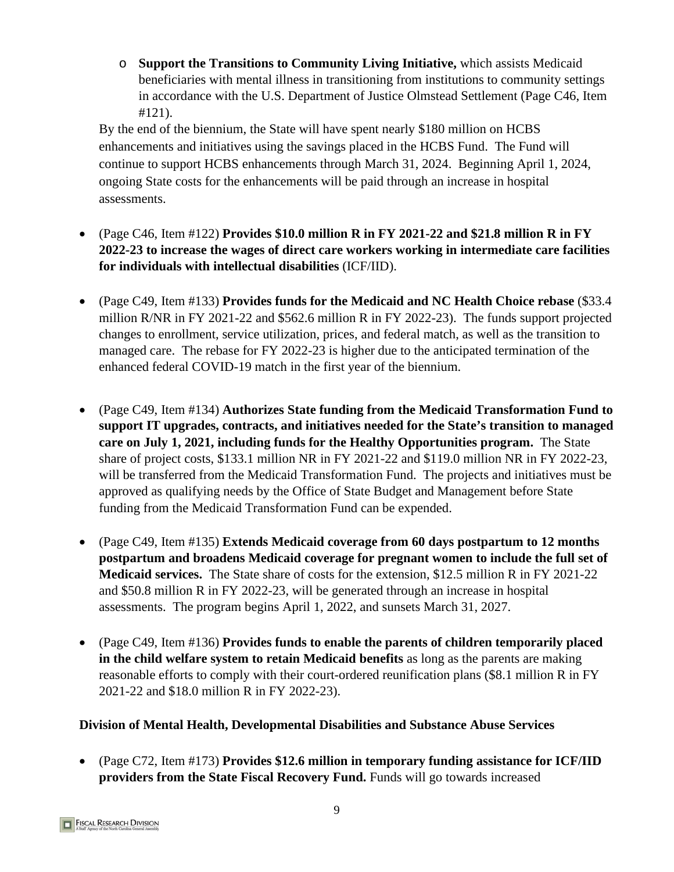o **Support the Transitions to Community Living Initiative,** which assists Medicaid beneficiaries with mental illness in transitioning from institutions to community settings in accordance with the U.S. Department of Justice Olmstead Settlement (Page C46, Item #121).

By the end of the biennium, the State will have spent nearly \$180 million on HCBS enhancements and initiatives using the savings placed in the HCBS Fund. The Fund will continue to support HCBS enhancements through March 31, 2024. Beginning April 1, 2024, ongoing State costs for the enhancements will be paid through an increase in hospital assessments.

- (Page C46, Item #122) **Provides \$10.0 million R in FY 2021-22 and \$21.8 million R in FY 2022-23 to increase the wages of direct care workers working in intermediate care facilities for individuals with intellectual disabilities** (ICF/IID).
- (Page C49, Item #133) **Provides funds for the Medicaid and NC Health Choice rebase** (\$33.4 million R/NR in FY 2021-22 and \$562.6 million R in FY 2022-23). The funds support projected changes to enrollment, service utilization, prices, and federal match, as well as the transition to managed care. The rebase for FY 2022-23 is higher due to the anticipated termination of the enhanced federal COVID-19 match in the first year of the biennium.
- (Page C49, Item #134) **Authorizes State funding from the Medicaid Transformation Fund to support IT upgrades, contracts, and initiatives needed for the State's transition to managed care on July 1, 2021, including funds for the Healthy Opportunities program.** The State share of project costs, \$133.1 million NR in FY 2021-22 and \$119.0 million NR in FY 2022-23, will be transferred from the Medicaid Transformation Fund. The projects and initiatives must be approved as qualifying needs by the Office of State Budget and Management before State funding from the Medicaid Transformation Fund can be expended.
- (Page C49, Item #135) **Extends Medicaid coverage from 60 days postpartum to 12 months postpartum and broadens Medicaid coverage for pregnant women to include the full set of Medicaid services.** The State share of costs for the extension, \$12.5 million R in FY 2021-22 and \$50.8 million R in FY 2022-23, will be generated through an increase in hospital assessments. The program begins April 1, 2022, and sunsets March 31, 2027.
- (Page C49, Item #136) **Provides funds to enable the parents of children temporarily placed in the child welfare system to retain Medicaid benefits** as long as the parents are making reasonable efforts to comply with their court-ordered reunification plans (\$8.1 million R in FY 2021-22 and \$18.0 million R in FY 2022-23).

# **Division of Mental Health, Developmental Disabilities and Substance Abuse Services**

• (Page C72, Item #173) **Provides \$12.6 million in temporary funding assistance for ICF/IID providers from the State Fiscal Recovery Fund.** Funds will go towards increased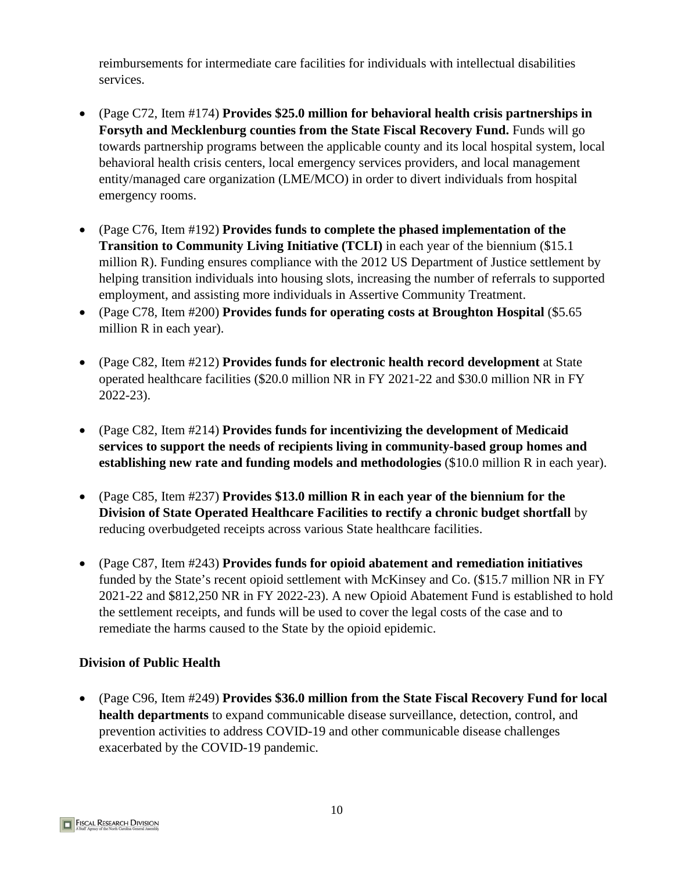reimbursements for intermediate care facilities for individuals with intellectual disabilities services.

- (Page C72, Item #174) **Provides \$25.0 million for behavioral health crisis partnerships in Forsyth and Mecklenburg counties from the State Fiscal Recovery Fund.** Funds will go towards partnership programs between the applicable county and its local hospital system, local behavioral health crisis centers, local emergency services providers, and local management entity/managed care organization (LME/MCO) in order to divert individuals from hospital emergency rooms.
- (Page C76, Item #192) **Provides funds to complete the phased implementation of the Transition to Community Living Initiative (TCLI)** in each year of the biennium (\$15.1 million R). Funding ensures compliance with the 2012 US Department of Justice settlement by helping transition individuals into housing slots, increasing the number of referrals to supported employment, and assisting more individuals in Assertive Community Treatment.
- (Page C78, Item #200) **Provides funds for operating costs at Broughton Hospital** (\$5.65 million R in each year).
- (Page C82, Item #212) **Provides funds for electronic health record development** at State operated healthcare facilities (\$20.0 million NR in FY 2021-22 and \$30.0 million NR in FY 2022-23).
- (Page C82, Item #214) **Provides funds for incentivizing the development of Medicaid services to support the needs of recipients living in community-based group homes and establishing new rate and funding models and methodologies** (\$10.0 million R in each year).
- (Page C85, Item #237) **Provides \$13.0 million R in each year of the biennium for the Division of State Operated Healthcare Facilities to rectify a chronic budget shortfall** by reducing overbudgeted receipts across various State healthcare facilities.
- (Page C87, Item #243) **Provides funds for opioid abatement and remediation initiatives**  funded by the State's recent opioid settlement with McKinsey and Co. (\$15.7 million NR in FY 2021-22 and \$812,250 NR in FY 2022-23). A new Opioid Abatement Fund is established to hold the settlement receipts, and funds will be used to cover the legal costs of the case and to remediate the harms caused to the State by the opioid epidemic.

# **Division of Public Health**

• (Page C96, Item #249) **Provides \$36.0 million from the State Fiscal Recovery Fund for local health departments** to expand communicable disease surveillance, detection, control, and prevention activities to address COVID-19 and other communicable disease challenges exacerbated by the COVID-19 pandemic.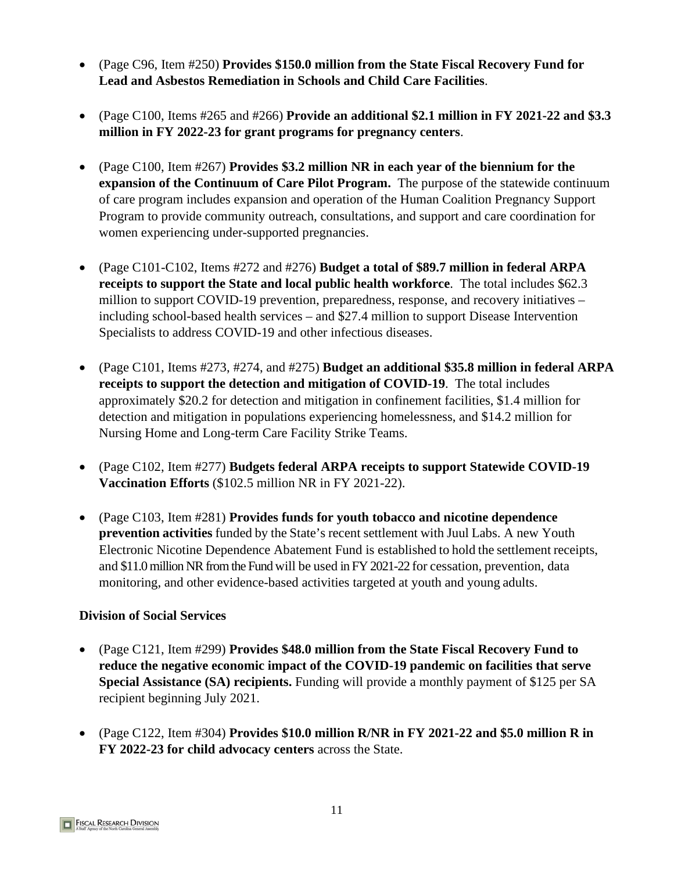- (Page C96, Item #250) **Provides \$150.0 million from the State Fiscal Recovery Fund for Lead and Asbestos Remediation in Schools and Child Care Facilities**.
- (Page C100, Items #265 and #266) **Provide an additional \$2.1 million in FY 2021-22 and \$3.3 million in FY 2022-23 for grant programs for pregnancy centers**.
- (Page C100, Item #267) **Provides \$3.2 million NR in each year of the biennium for the expansion of the Continuum of Care Pilot Program.** The purpose of the statewide continuum of care program includes expansion and operation of the Human Coalition Pregnancy Support Program to provide community outreach, consultations, and support and care coordination for women experiencing under-supported pregnancies.
- (Page C101-C102, Items #272 and #276) **Budget a total of \$89.7 million in federal ARPA receipts to support the State and local public health workforce**. The total includes \$62.3 million to support COVID-19 prevention, preparedness, response, and recovery initiatives – including school-based health services – and \$27.4 million to support Disease Intervention Specialists to address COVID-19 and other infectious diseases.
- (Page C101, Items #273, #274, and #275) **Budget an additional \$35.8 million in federal ARPA receipts to support the detection and mitigation of COVID-19**. The total includes approximately \$20.2 for detection and mitigation in confinement facilities, \$1.4 million for detection and mitigation in populations experiencing homelessness, and \$14.2 million for Nursing Home and Long-term Care Facility Strike Teams.
- (Page C102, Item #277) **Budgets federal ARPA receipts to support Statewide COVID-19 Vaccination Efforts** (\$102.5 million NR in FY 2021-22).
- (Page C103, Item #281) **Provides funds for youth tobacco and nicotine dependence prevention activities** funded by the State's recent settlement with Juul Labs. A new Youth Electronic Nicotine Dependence Abatement Fund is established to hold the settlement receipts, and \$11.0 million NR from the Fund will be used in FY 2021-22 for cessation, prevention, data monitoring, and other evidence-based activities targeted at youth and young adults.

# **Division of Social Services**

- (Page C121, Item #299) **Provides \$48.0 million from the State Fiscal Recovery Fund to reduce the negative economic impact of the COVID-19 pandemic on facilities that serve Special Assistance (SA) recipients.** Funding will provide a monthly payment of \$125 per SA recipient beginning July 2021.
- (Page C122, Item #304) **Provides \$10.0 million R/NR in FY 2021-22 and \$5.0 million R in FY 2022-23 for child advocacy centers** across the State.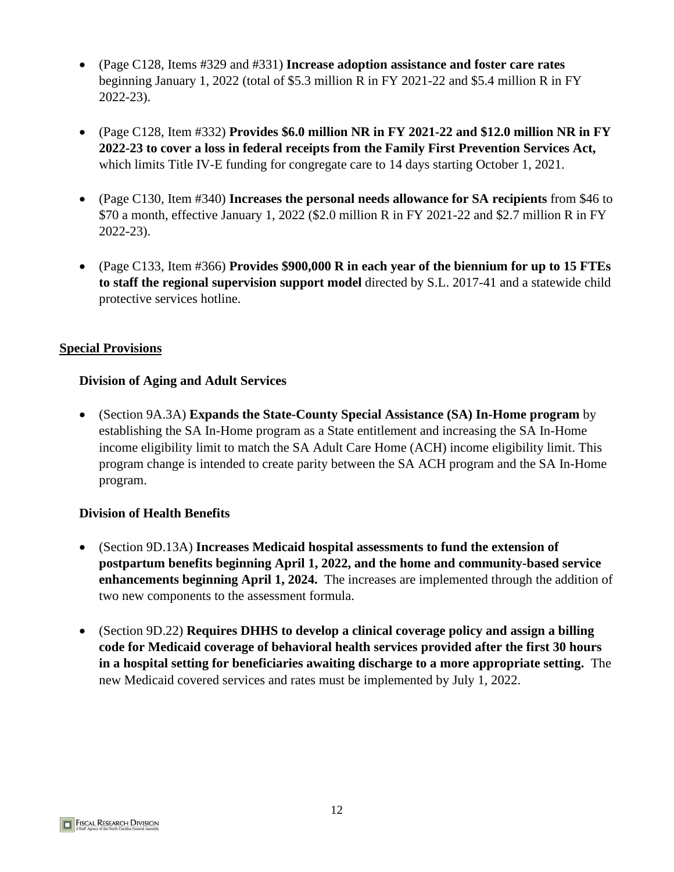- (Page C128, Items #329 and #331) **Increase adoption assistance and foster care rates** beginning January 1, 2022 (total of \$5.3 million R in FY 2021-22 and \$5.4 million R in FY 2022-23).
- (Page C128, Item #332) **Provides \$6.0 million NR in FY 2021-22 and \$12.0 million NR in FY 2022-23 to cover a loss in federal receipts from the Family First Prevention Services Act,** which limits Title IV-E funding for congregate care to 14 days starting October 1, 2021.
- (Page C130, Item #340) **Increases the personal needs allowance for SA recipients** from \$46 to \$70 a month, effective January 1, 2022 (\$2.0 million R in FY 2021-22 and \$2.7 million R in FY 2022-23).
- (Page C133, Item #366) **Provides \$900,000 R in each year of the biennium for up to 15 FTEs to staff the regional supervision support model** directed by S.L. 2017-41 and a statewide child protective services hotline.

# **Division of Aging and Adult Services**

• (Section 9A.3A) **Expands the State-County Special Assistance (SA) In-Home program** by establishing the SA In-Home program as a State entitlement and increasing the SA In-Home income eligibility limit to match the SA Adult Care Home (ACH) income eligibility limit. This program change is intended to create parity between the SA ACH program and the SA In-Home program.

# **Division of Health Benefits**

- (Section 9D.13A) **Increases Medicaid hospital assessments to fund the extension of postpartum benefits beginning April 1, 2022, and the home and community-based service enhancements beginning April 1, 2024.** The increases are implemented through the addition of two new components to the assessment formula.
- (Section 9D.22) **Requires DHHS to develop a clinical coverage policy and assign a billing code for Medicaid coverage of behavioral health services provided after the first 30 hours in a hospital setting for beneficiaries awaiting discharge to a more appropriate setting.** The new Medicaid covered services and rates must be implemented by July 1, 2022.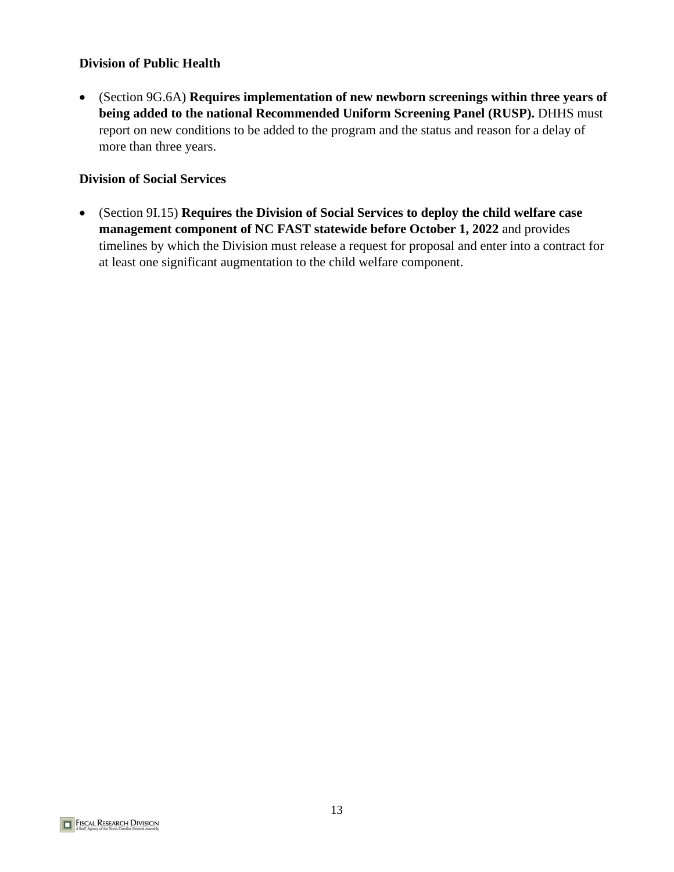#### **Division of Public Health**

• (Section 9G.6A) **Requires implementation of new newborn screenings within three years of being added to the national Recommended Uniform Screening Panel (RUSP).** DHHS must report on new conditions to be added to the program and the status and reason for a delay of more than three years.

#### **Division of Social Services**

• (Section 9I.15) **Requires the Division of Social Services to deploy the child welfare case management component of NC FAST statewide before October 1, 2022** and provides timelines by which the Division must release a request for proposal and enter into a contract for at least one significant augmentation to the child welfare component.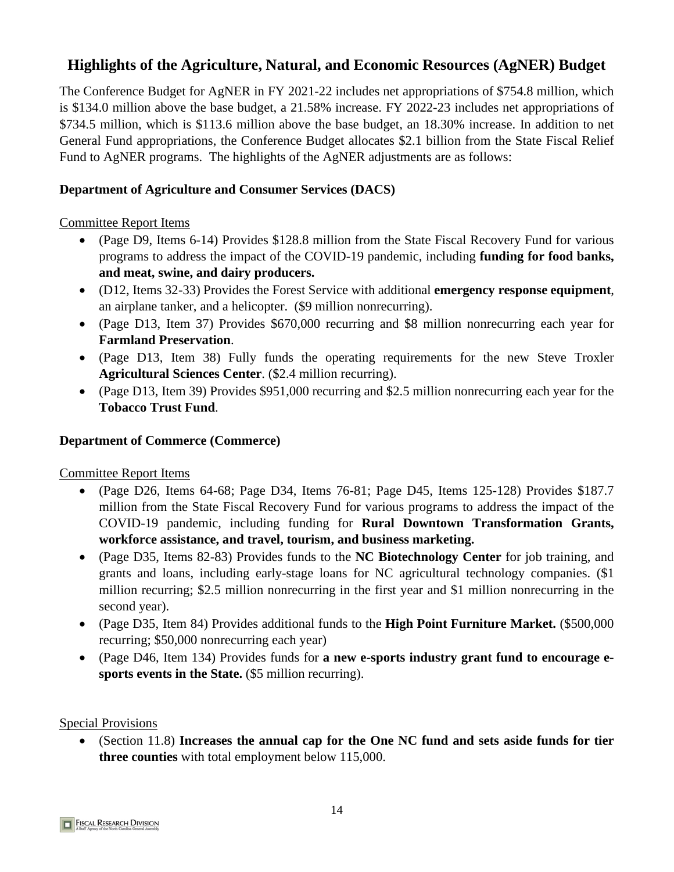# **Highlights of the Agriculture, Natural, and Economic Resources (AgNER) Budget**

The Conference Budget for AgNER in FY 2021-22 includes net appropriations of \$754.8 million, which is \$134.0 million above the base budget, a 21.58% increase. FY 2022-23 includes net appropriations of \$734.5 million, which is \$113.6 million above the base budget, an 18.30% increase. In addition to net General Fund appropriations, the Conference Budget allocates \$2.1 billion from the State Fiscal Relief Fund to AgNER programs. The highlights of the AgNER adjustments are as follows:

#### **Department of Agriculture and Consumer Services (DACS)**

#### Committee Report Items

- (Page D9, Items 6-14) Provides \$128.8 million from the State Fiscal Recovery Fund for various programs to address the impact of the COVID-19 pandemic, including **funding for food banks, and meat, swine, and dairy producers.**
- (D12, Items 32-33) Provides the Forest Service with additional **emergency response equipment**, an airplane tanker, and a helicopter. (\$9 million nonrecurring).
- (Page D13, Item 37) Provides \$670,000 recurring and \$8 million nonrecurring each year for **Farmland Preservation**.
- (Page D13, Item 38) Fully funds the operating requirements for the new Steve Troxler **Agricultural Sciences Center**. (\$2.4 million recurring).
- (Page D13, Item 39) Provides \$951,000 recurring and \$2.5 million nonrecurring each year for the **Tobacco Trust Fund**.

#### **Department of Commerce (Commerce)**

# Committee Report Items

- (Page D26, Items 64-68; Page D34, Items 76-81; Page D45, Items 125-128) Provides \$187.7 million from the State Fiscal Recovery Fund for various programs to address the impact of the COVID-19 pandemic, including funding for **Rural Downtown Transformation Grants, workforce assistance, and travel, tourism, and business marketing.**
- (Page D35, Items 82-83) Provides funds to the **NC Biotechnology Center** for job training, and grants and loans, including early-stage loans for NC agricultural technology companies. (\$1 million recurring; \$2.5 million nonrecurring in the first year and \$1 million nonrecurring in the second year).
- (Page D35, Item 84) Provides additional funds to the **High Point Furniture Market.** (\$500,000 recurring; \$50,000 nonrecurring each year)
- (Page D46, Item 134) Provides funds for **a new e-sports industry grant fund to encourage esports events in the State.** (\$5 million recurring).

#### Special Provisions

• (Section 11.8) **Increases the annual cap for the One NC fund and sets aside funds for tier three counties** with total employment below 115,000.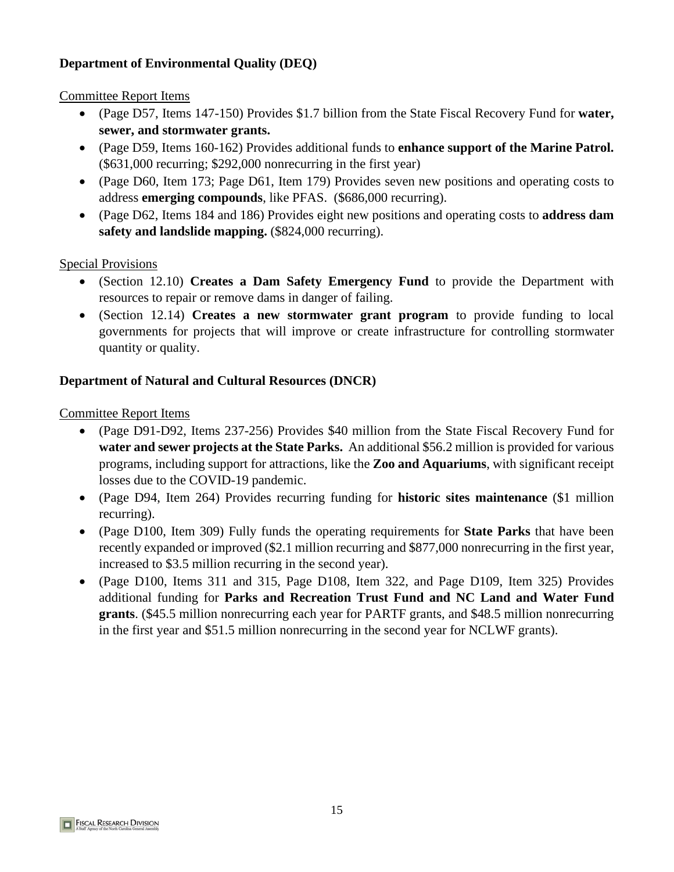# **Department of Environmental Quality (DEQ)**

#### Committee Report Items

- (Page D57, Items 147-150) Provides \$1.7 billion from the State Fiscal Recovery Fund for **water, sewer, and stormwater grants.**
- (Page D59, Items 160-162) Provides additional funds to **enhance support of the Marine Patrol.** (\$631,000 recurring; \$292,000 nonrecurring in the first year)
- (Page D61, Items 173 and 179) Provides seven new positions and operating costs to address **emerging compounds**, like PFAS. (\$686,000 recurring).
- (Page D62, Items 184 and 186) Provides eight new positions and operating costs to **address dam safety and landslide mapping.** (\$824,000 recurring).

#### Special Provisions

- (Section 12.10) **Creates a Dam Safety Emergency Fund** to provide the Department with resources to repair or remove dams in danger of failing.
- (Section 12.14) **Creates a new stormwater grant program** to provide funding to local governments for projects that will improve or create infrastructure for controlling stormwater quantity or quality.

# **Department of Natural and Cultural Resources (DNCR)**

- (Page D91-D92, Items 237-256) Provides \$40 million from the State Fiscal Recovery Fund for **water and sewer projects at the State Parks.** An additional \$56.2 million is provided for various programs, including support for attractions, like the **Zoo and Aquariums**, with significant receipt losses due to the COVID-19 pandemic.
- (Page D94, Item 264) Provides recurring funding for **historic sites maintenance** (\$1 million recurring).
- (Page D100, Item 309) Fully funds the operating requirements for **State Parks** that have been recently expanded or improved (\$2.1 million recurring and \$877,000 nonrecurring in the first year, increased to \$3.5 million recurring in the second year).
- (Page D100, Items 311 and 315, Page D108, Item 322, and Page D109, Item 325) Provides additional funding for **Parks and Recreation Trust Fund and NC Land and Water Fund grants**. (\$45.5 million nonrecurring each year for PARTF grants, and \$48.5 million nonrecurring in the first year and \$51.5 million nonrecurring in the second year for NCLWF grants).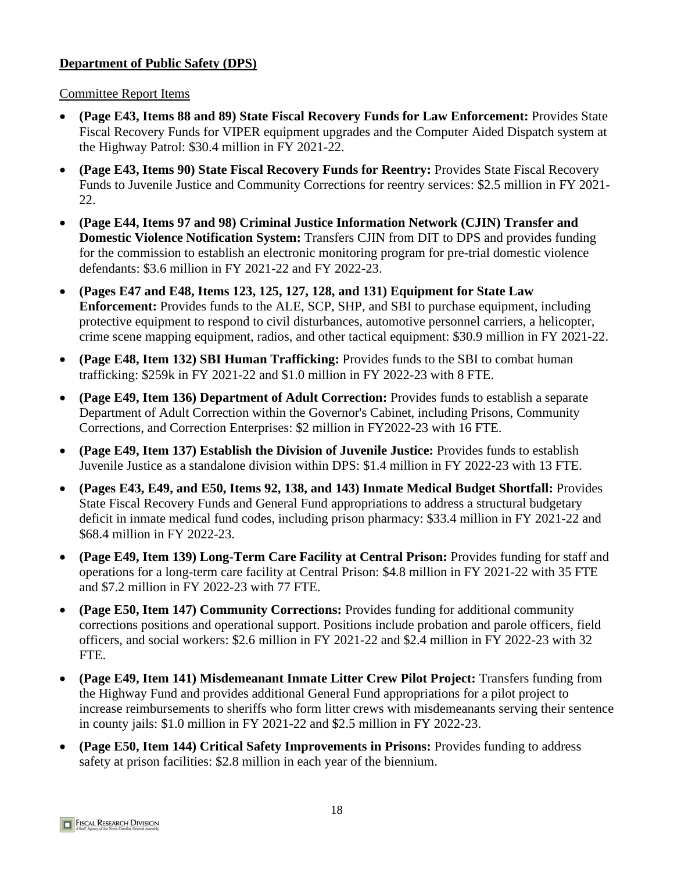# **Department of Public Safety (DPS)**

Committee Report Items

- **(Page E43, Items 88 and 89) State Fiscal Recovery Funds for Law Enforcement:** Provides State Fiscal Recovery Funds for VIPER equipment upgrades and the Computer Aided Dispatch system at the Highway Patrol: \$30.4 million in FY 2021-22.
- **(Page E43, Items 90 & 91) State Fiscal Recovery Funds for Reentry:** Provides State Fiscal Recovery Funds to Juvenile Justice and Community Corrections for reentry services: \$3.5 million in FY 2021-22.
- **(Page E44, Items 97 and 98) Criminal Justice Information Network (CJIN) Transfer and Domestic Violence Notification System:** Transfers CJIN from DIT to DPS and provides funding for the commission to establish an electronic monitoring program for pre-trial domestic violence defendants: \$3.6 million in FY 2021-22 and FY 2022-23.
- **(Pages E47 and E48, Items 123, 125, 127, 128, and 131) Equipment for State Law Enforcement:**  Provides funds to the ALE, SCP, SHP, and SBI to purchase equipment, including protective equipment to respond to civil disturbances, automotive personnel carriers, a helicopter, crime scene mapping equipment, radios, and other tactical equipment: \$30.9 million in FY 2021-22.
- **(Page E48, Item 132) SBI Human Trafficking:** Provides funds to the SBI to combat human trafficking: \$259k in FY 2021-22 and \$1.0 million in FY 2022-23 with 8 FTE.
- **(Page E49, Item 136) Department of Adult Correction:** Provides funds to establish a separate Department of Adult Correction within the Governor's Cabinet, including Prisons, Community Corrections, and Correction Enterprises: \$2.0 million in FY2022-23 with 16 FTE.
- **(Page E49, Item 137) Establish the Division of Juvenile Justice:** Provides funds to establish Juvenile Justice as a standalone division within DPS: \$1.4 million in FY 2022-23 with 13 FTE.
- **(Pages E43, E49, and E50, Items 92, 138, and 143) Inmate Medical Budget Shortfall:** Provides State Fiscal Recovery Funds and General Fund appropriations to address a structural budgetary deficit in inmate medical fund codes, including prison pharmacy, authorized amounts are: \$33.4 million in FY 2021-22 and\$68.4 million in FY 2022-23.
- **(Page E49, Item 139) Long-Term Care Facility at Central Prison:** Provides funding for staff and operations for a long-term care facility at Central Prison: \$4.8 million in FY 2021-22 with 35 FTE and \$7.2 million in FY 2022-23 with 77 FTE.
- **(Page E50, Item 147) Community Corrections:** Provides funding for additional community corrections positions and operational support. Positions include probation and parole officers, field officers, and social workers: \$2.6 million in FY 2021-22 and \$2.4 million in FY 2022-23 with 32 FTE.
- **(Page E49, Item 141) Misdemeanant Inmate Litter Crew Pilot Project:** Transfers funding from the Highway Fund and provides additional General Fund appropriations for a pilot project to increase reimbursements to sheriffs who form litter crews with misdemeanants serving their sentence in county jails: \$1.0 million in FY 2021-22 and \$2.5 million in FY 2022-23.
- **(Page E50, Item 144) Critical Safety Improvements in Prisons:** Provides funding to address safety at prison facilities: \$2.8 million in each year of the biennium.

**FISCAL RESEARCH DIVISION**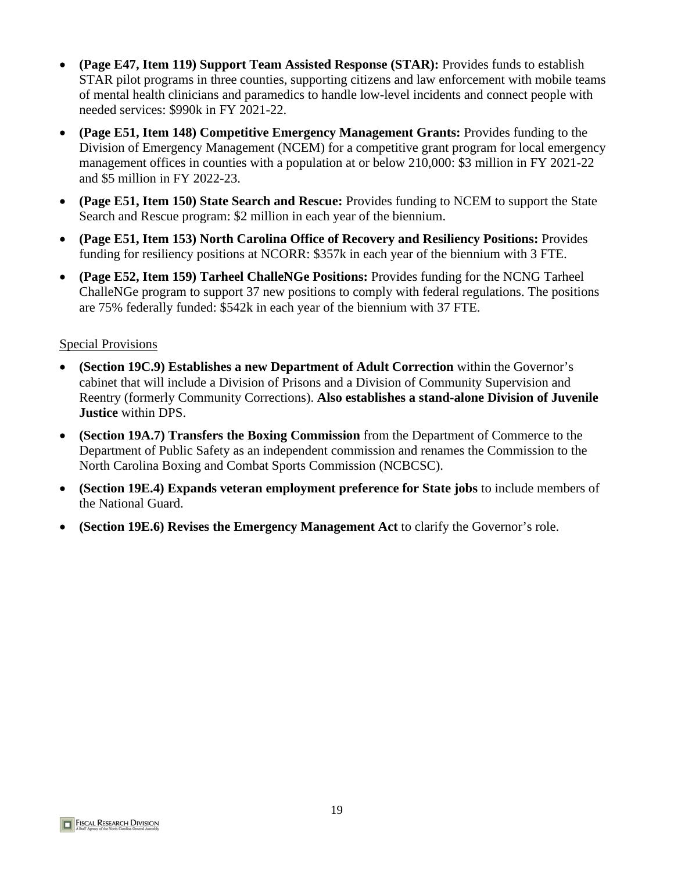- **(Page E47, Item 119) Support Team Assisted Response (STAR):** Provides funds to establish STAR pilot programs in three counties, supporting citizens and law enforcement with mobile teams of mental health clinicians and paramedics to handle low-level incidents and connect people with needed services: \$990k in FY 2021-22.
- **(Page E51, Item 148) Competitive Emergency Management Grants:** Provides funding to the Division of Emergency Management (NCEM) for a competitive grant program for local emergency management offices in counties with a population at or below 210,000: \$3.0 million in FY 2021-22 and \$5 million in FY 2022-23.
- **(Page E51, Item 150) State Search and Rescue:** Provides funding to NCEM to support the State Search and Rescue program: \$2.0 million in each year of the biennium.
- **(Page E51, Item 153) North Carolina Office of Recovery and Resiliency Positions:** Provides funding for resiliency positions at NCORR: \$357k in each year of the biennium with 3 FTE.
- **(Page E52, Item 159) Tarheel ChalleNGe Positions:** Provides funding for the NCNG Tarheel ChalleNGe program to support 37 new positions to comply with federal regulations. The positions are 75% federally funded: \$542k in each year of the biennium with 37 FTE.

- **(Section 19C.9) Establishes a new Department of Adult Correction** within the Governor's cabinet that will include a Division of Prisons and a Division of Community Supervision and Reentry (formerly Community Corrections). **Also establishes a stand-alone Division of Juvenile Justice** within DPS.
- **(Section 19A.7) Transfers the Boxing Commission** from the Department of Commerce to the Department of Public Safety as an independent commission and renames the Commission to the North Carolina Boxing and Combat Sports Commission (NCBCSC).
- **(Section 19E.4) Expands veteran employment preference for State jobs** to include members of the National Guard.
- **(Section 19E.6) Revises the Emergency Management Act** to clarify the Governor's role.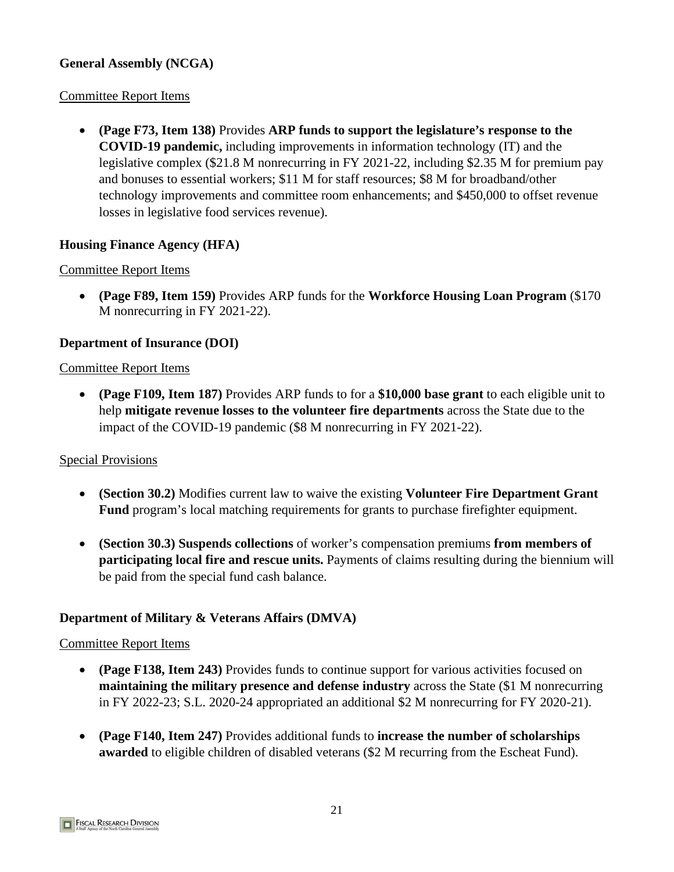# **General Assembly (NCGA)**

#### Committee Report Items

• **(Page F73, Item 138)** Provides **ARP funds to support the legislature's response to the COVID-19 pandemic,** including improvements in information technology (IT) and the legislative complex (\$21.8 M nonrecurring in FY 2021-22, including \$2.35 M for premium pay and bonuses to essential workers; \$11 M for staff resources; \$8 M for broadband/other technology improvements and committee room enhancements; and \$450,000 to offset revenue losses in legislative food services revenue).

#### **Housing Finance Agency (HFA)**

#### Committee Report Items

• **(Page F89, Item 159)** Provides ARP funds for the **Workforce Housing Loan Program** (\$170 M nonrecurring in FY 2021-22).

#### **Department of Insurance (DOI)**

#### Committee Report Items

• **(Page F109, Item 187)** Provides ARP funds to for a **\$10,000 base grant** to each eligible unit to help **mitigate revenue losses to the volunteer fire departments** across the State due to the impact of the COVID-19 pandemic (\$8 M nonrecurring in FY 2021-22).

#### Special Provisions

- **(Section 30.2)** Modifies current law to waive the existing **Volunteer Fire Department Grant Fund** program's local matching requirements for grants to purchase firefighter equipment.
- **(Section 30.3) Suspends collections** of worker's compensation premiums **from members of participating local fire and rescue units.** Payments of claims resulting during the biennium will be paid from the special fund cash balance.

#### **Department of Military & Veterans Affairs (DMVA)**

- **(Page F138, Item 243)** Provides funds to continue support for various activities focused on **maintaining the military presence and defense industry** across the State (\$1 M nonrecurring in FY 2022-23; S.L. 2020-24 appropriated an additional \$2 M nonrecurring for FY 2020-21).
- **(Page F140, Item 247)** Provides additional funds to **increase the number of scholarships awarded** to eligible children of disabled veterans (\$2 M recurring from the Escheat Fund).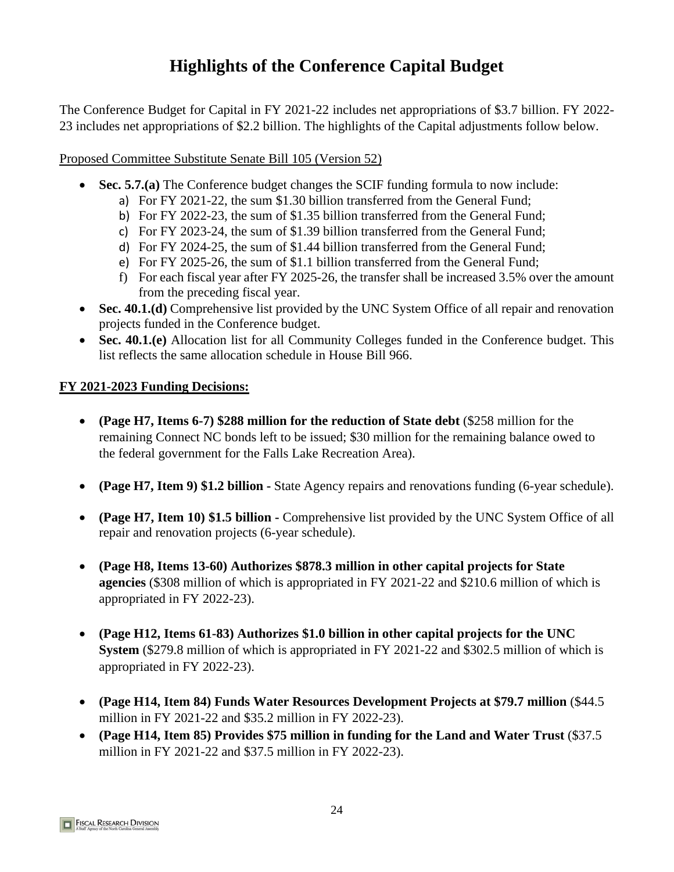# **Highlights of the Conference Capital Budget**

The Conference Budget for Capital in FY 2021-22 includes net appropriations of \$3.7 billion. FY 2022- 23 includes net appropriations of \$2.2 billion. The highlights of the Capital adjustments follow below.

# **6SHFLDO3URYLVLRQV**

- **Sec. 5.7.(a)** The Conference budget changes the SCIF funding formula to now include:
	- a) For FY 2021-22, the sum \$1.30 billion transferred from the General Fund;
	- b) For FY 2022-23, the sum of \$1.35 billion transferred from the General Fund;
	- c) For FY 2023-24, the sum of \$1.39 billion transferred from the General Fund;
	- d) For FY 2024-25, the sum of \$1.44 billion transferred from the General Fund;
	- e) For FY 2025-26, the sum of \$1.1 billion transferred from the General Fund;
	- f) For each fiscal year after FY 2025-26, the transfer shall be increased 3.5% over the amount from the preceding fiscal year.
- Sec. 40.1.(d) Comprehensive list provided by the UNC System Office of all repair and renovation projects funded in the Conference budget.
- Sec. 40.1.(e) Allocation list for all Community Colleges funded in the Conference budget. This list reflects the same allocation schedule in House Bill 966.

- **(Page H7, Items 6-7) \$288 million for the reduction of State debt** (\$258 million for the remaining Connect NC bonds left to be issued; \$30 million for the remaining balance owed to the federal government for the Falls Lake Recreation Area).
- **(Page H7, Item 9) \$1.2 billion** State Agency repairs and renovations funding (6-year schedule).
- **(Page H7, Item 10) \$1.5 billion** Comprehensive list provided by the UNC System Office of all repair and renovation projects (6-year schedule).
- **(Page H8, Items 13-60) Authorizes \$878.3 million in other capital projects for State agencies** (\$308 million of which is appropriated in FY 2021-22 and \$210.6 million of which is appropriated in FY 2022-23).
- **(Page H12, Items 61-83) Authorizes \$1.0 billion in other capital projects for the UNC System** (\$279.8 million of which is appropriated in FY 2021-22 and \$302.5 million of which is appropriated in FY 2022-23).
- **(Page H14, Item 84) Funds Water Resources Development Projects at \$79.7 million** (\$44.5 million in FY 2021-22 and \$35.2 million in FY 2022-23).
- **(Page H14, Item 85) Provides \$75 million in funding for the Land and Water Trust** (\$37.5 million in FY 2021-22 and \$37.5 million in FY 2022-23).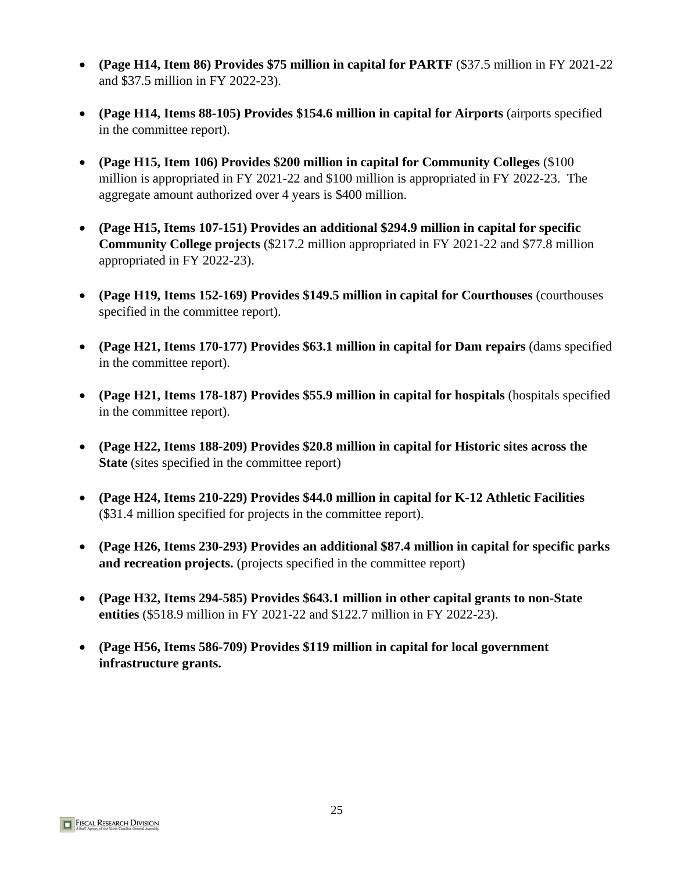- **(Page H14, Item 86) Provides \$75 million in capital for PARTF** (\$37.5 million in FY 2021-22 and \$37.5 million in FY 2022-23).
- **(Page H14, Items 88-105) Provides \$154.6 million in capital for Airports** (airports specified in the committee report).
- **(Page H15, Item 106) Provides \$200 million in capital for Community Colleges** (\$100 million is appropriated in FY 2021-22 and \$100 million is appropriated in FY 2022-23. The aggregate amount authorized over 4 years is \$400 million.
- **(Page H15, Items 107-151) Provides an additional \$294.9 million in capital for specific Community College projects** (\$217.2 million appropriated in FY 2021-22 and \$77.8 million appropriated in FY 2022-23).
- **(Page H19, Items 152-169) Provides \$149.5 million in capital for Courthouses** (courthouses specified in the committee report).
- **(Page H21, Items 170-177) Provides \$63.1 million in capital for Dam repairs** (dams specified in the committee report).
- **(Page H21, Items 178-187) Provides \$55.9 million in capital for hospitals** (hospitals specified in the committee report).
- **(Page H22, Items 188-209) Provides \$20.8 million in capital for Historic sites across the State** (sites specified in the committee report)
- **(Page H24, Items 210-229) Provides \$44.0 million in capital for K-12 Athletic Facilities** (\$31.4 million specified for projects in the committee report).
- **(Page H26, Items 230-293) Provides an additional \$87.4 million in capital for specific parks and recreation projects.** (projects specified in the committee report)
- **(Page H32, Items 294-585) Provides \$643.1 million in other capital grants to non-State entities** (\$518.9 million in FY 2021-22 and \$122.7 million in FY 2022-23).
- **(Page H56, Items 586-709) Provides \$119 million in capital for local government infrastructure grants.**

**FISCAL RESEARCH DIVISION**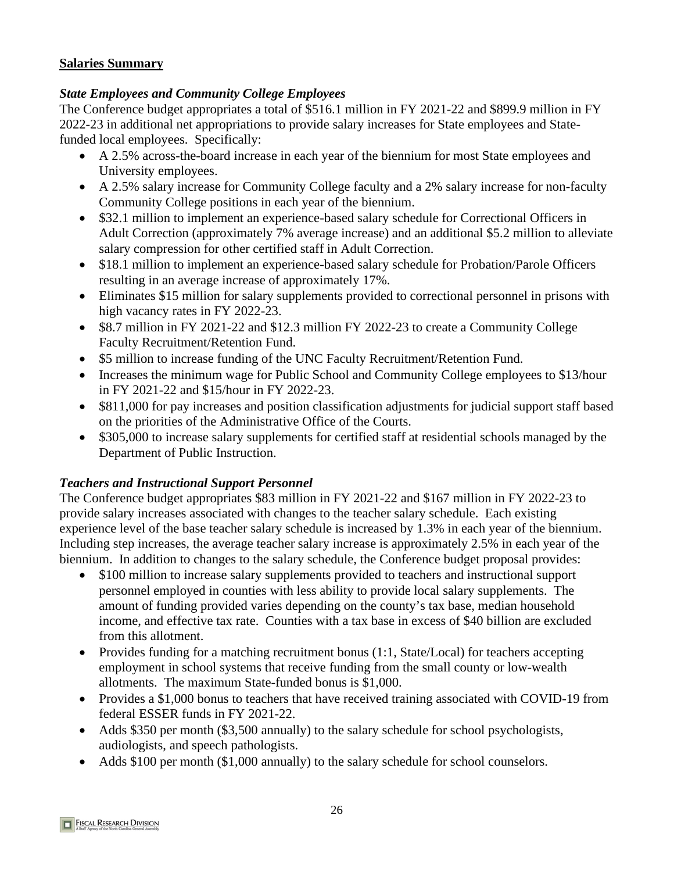#### **Salaries Summary**

#### *State Employees and Community College Employees*

The Conference budget appropriates a total of \$516.1 million in FY 2021-22 and \$899.9 million in FY 2022-23 in additional net appropriations to provide salary increases for State employees and Statefunded local employees. Specifically:

- A 2.5% across-the-board increase in each year of the biennium for most State employees and University employees.
- A 2.5% salary increase for all Community College staff in each year of the biennium..
- \$32.1 million to implement an experience-based salary schedule for Correctional Officers in Adult Correction (approximately 7% average increase) and an additional \$5.2 million to alleviate salary compression for other certified staff in Adult Correction.
- \$18.1 million to implement an experience-based salary schedule for Probation/Parole Officers resulting in an average increase of approximately 17%.
- Eliminates \$15 million for salary supplements provided to correctional personnel in prisons with high vacancy rates in FY 2022-23.
- \$8.7 million in FY 2021-22 and \$12.3 million FY 2022-23 to create a Community College Faculty Recruitment/Retention Fund.
- \$5 million to increase funding of the UNC Faculty Recruitment/Retention Fund.
- Increases the minimum wage for Public School and Community College employees to \$13/hour in FY 2021-22 and \$15/hour in FY 2022-23.
- \$811,000 for pay increases and position classification adjustments for judicial support staff based on the priorities of the Administrative Office of the Courts.
- \$305,000 to increase salary supplements for certified staff at residential schools managed by the Department of Public Instruction.

# *Teachers and Instructional Support Personnel*

The Conference budget appropriates \$83 million in FY 2021-22 and \$167 million in FY 2022-23 to provide salary increases associated with changes to the teacher salary schedule. Each existing experience level of the base teacher salary schedule is increased by 1.3% in each year of the biennium. Including step increases, the average teacher salary increase is approximately 2.5% in each year of the biennium. In addition to changes to the salary schedule, the Conference budget proposal provides:

- \$100 million to increase salary supplements provided to teachers and instructional support personnel employed in counties with less ability to provide local salary supplements. The amount of funding provided varies depending on the county's tax base, median household income, and effective tax rate. Counties with a tax base in excess of \$40 billion are excluded from this allotment.
- Provides funding for a matching recruitment bonus  $(1:1, State/Local)$  for teachers accepting employment in school systems that receive funding from the small county or low-wealth allotments. The maximum State-funded bonus is \$1,000.
- Provides a \$1,000 bonus to teachers that have received training associated with COVID-19 from federal ESSER funds in FY 2021-22.
- Adds \$350 per month (\$3,500 annually) to the salary schedule for school psychologists, audiologists, and speech pathologists.
- Adds \$100 per month (\$1,000 annually) to the salary schedule for school counselors.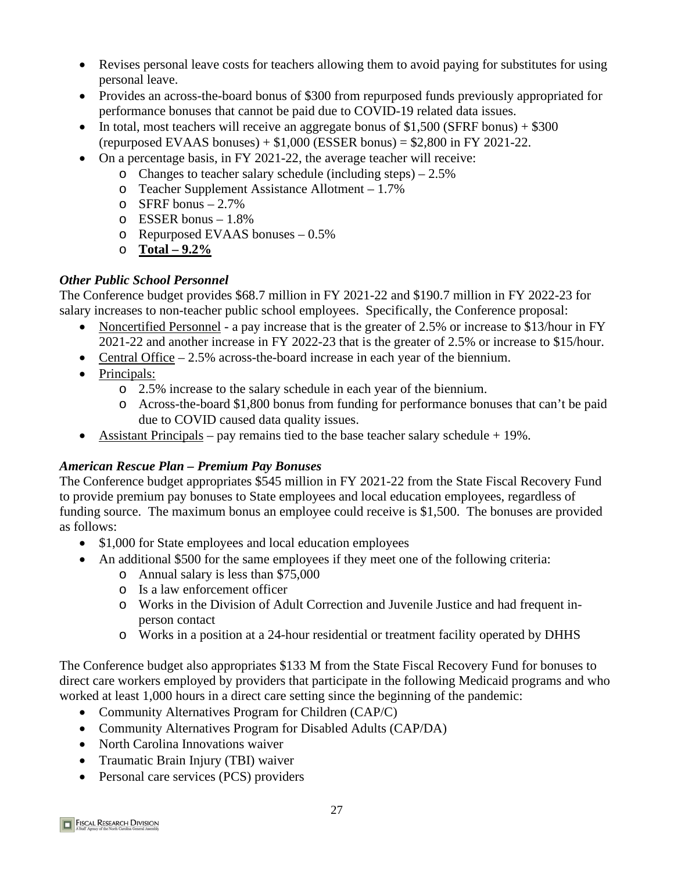- Revises personal leave costs for teachers allowing them to avoid paying for substitutes for using personal leave.
- Provides an across-the-board bonus of \$300 from repurposed funds previously appropriated for performance bonuses that cannot be paid due to COVID-19 related data issues.
- In total, most teachers will receive an aggregate bonus of \$1,500 (SFRF bonus)  $+$  \$300  $(repurposeed EVAAS bonus) + $1,000 (ESSER bonus) = $2,800 in FY 2021-22.$
- On a percentage basis, in FY 2021-22, the average teacher will receive:
	- o Changes to teacher salary schedule (including steps) 2.5%
	- o Teacher Supplement Assistance Allotment 1.7%
	- $\circ$  SFRF bonus 2.7%
	- o ESSER bonus 1.8%
	- o Repurposed EVAAS bonuses 0.5%
	- o **Total – 9.2%**

# *Other Public School Personnel*

The Conference budget provides \$68.7 million in FY 2021-22 and \$190.7 million in FY 2022-23 for salary increases to non-teacher public school employees. Specifically, the Conference proposal:

- Noncertified Personnel a pay increase that is the greater of 2.5% or increase to \$13/hour in FY 2021-22 and another increase in FY 2022-23 that is the greater of 2.5% or increase to \$15/hour.
- Central Office 2.5% across-the-board increase in each year of the biennium.
- Principals:
	- o 2.5% increase to the salary schedule in each year of the biennium.
	- o Across-the-board \$1,800 bonus from funding for performance bonuses that can't be paid due to COVID caused data quality issues.
- Assistant Principals pay remains tied to the base teacher salary schedule  $+19\%$ .

# *American Rescue Plan – Premium Pay Bonuses*

The Conference budget appropriates \$545 million in FY 2021-22 from the State Fiscal Recovery Fund to provide premium pay bonuses to State employees and local education employees, regardless of funding source. The maximum bonus an employee could receive is \$1,500. The bonuses are provided as follows:

- \$1,000 for State employees and local education employees
- An additional \$500 for the same employees if they meet one of the following criteria:
	- o Annual salary is less than \$75,000
	- o Is a law enforcement officer
	- o Works in the Division of Adult Correction and Juvenile Justice and had frequent inperson contact
	- o Works in a position at a 24-hour residential or treatment facility operated by DHHS

The Conference budget also appropriates \$133 M from the State Fiscal Recovery Fund for bonuses to direct care workers employed by providers that participate in the following Medicaid programs and who worked at least 1,000 hours in a direct care setting since the beginning of the pandemic:

- Community Alternatives Program for Children (CAP/C)
- Community Alternatives Program for Disabled Adults (CAP/DA)
- North Carolina Innovations waiver
- Traumatic Brain Injury (TBI) waiver
- Personal care services (PCS) providers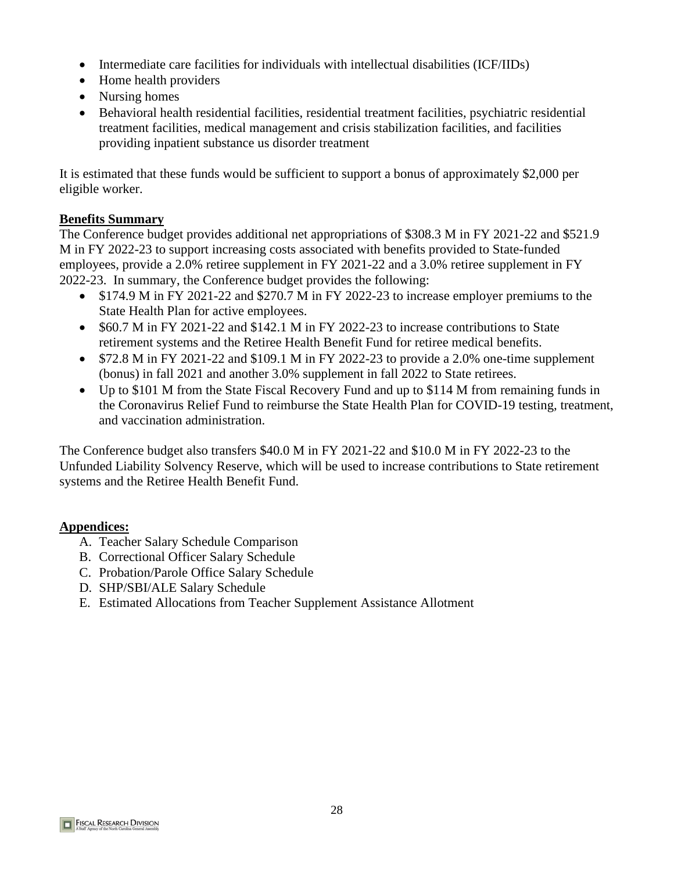- Intermediate care facilities for individuals with intellectual disabilities (ICF/IIDs)
- Home health providers
- Nursing homes
- Behavioral health residential facilities, residential treatment facilities, psychiatric residential treatment facilities, medical management and crisis stabilization facilities, and facilities providing inpatient substance us disorder treatment

It is estimated that these funds would be sufficient to support a bonus of approximately \$2,000 per eligible worker.

#### **Benefits Summary**

The Conference budget provides additional net appropriations of \$308.3 M in FY 2021-22 and \$521.9 M in FY 2022-23 to support increasing costs associated with benefits provided to State-funded employees, provide a 2.0% retiree supplement in FY 2021-22 and a 3.0% retiree supplement in FY 2022-23. In summary, the Conference budget provides the following:

- \$174.9 M in FY 2021-22 and \$270.7 M in FY 2022-23 to increase employer premiums to the State Health Plan for active employees.
- \$60.7 M in FY 2021-22 and \$142.1 M in FY 2022-23 to increase contributions to State retirement systems and the Retiree Health Benefit Fund for retiree medical benefits.
- \$72.8 M in FY 2021-22 and \$109.1 M in FY 2022-23 to provide a 2.0% one-time supplement (bonus) in fall 2021 and another 3.0% supplement in fall 2022 to State retirees.
- Up to \$101 M from the State Fiscal Recovery Fund and up to \$114 M from remaining funds in the Coronavirus Relief Fund to reimburse the State Health Plan for COVID-19 testing, treatment, and vaccination administration.

The Conference budget also transfers \$40.0 M in FY 2021-22 and \$10.0 M in FY 2022-23 to the Unfunded Liability Solvency Reserve, which will be used to increase contributions to State retirement systems and the Retiree Health Benefit Fund.

# **Appendices:**

- A. Teacher Salary Schedule Comparison
- B. Correctional Officer Salary Schedule
- C. Probation/Parole Office Salary Schedule
- D. SHP/SBI/ALE Salary Schedule
- E. Estimated Allocations from Teacher Supplement Assistance Allotment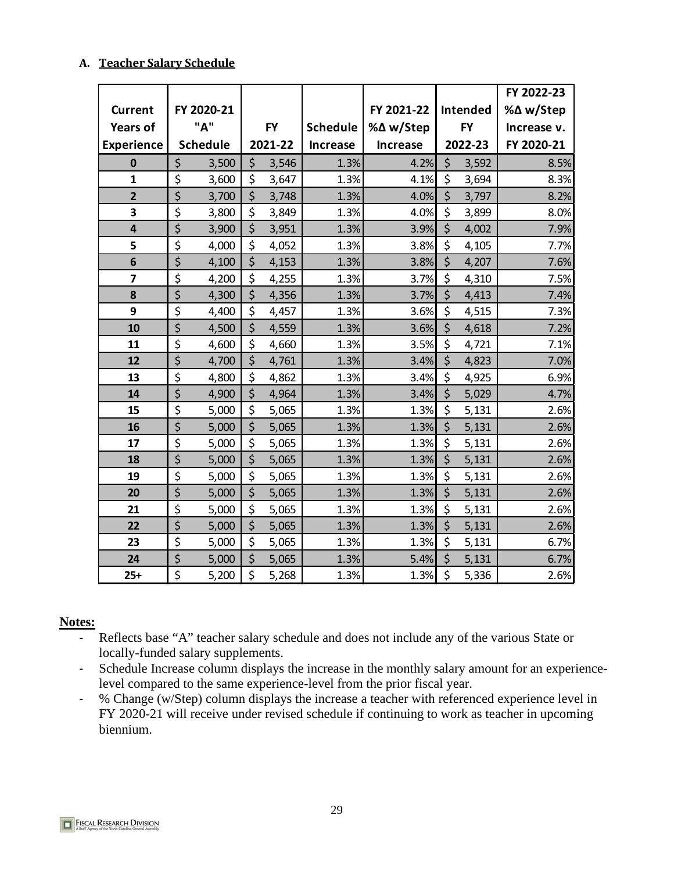#### **A. Teacher Salary Schedule**

|                         |                  |                 |                                 |           |                 |                 |                 |         | FY 2022-23  |
|-------------------------|------------------|-----------------|---------------------------------|-----------|-----------------|-----------------|-----------------|---------|-------------|
| <b>Current</b>          |                  | FY 2020-21      |                                 |           |                 | FY 2021-22      | <b>Intended</b> |         | %∆ w/Step   |
| <b>Years of</b>         |                  | "A"             |                                 | <b>FY</b> | <b>Schedule</b> | %∆ w/Step       | <b>FY</b>       |         | Increase v. |
| <b>Experience</b>       |                  | <b>Schedule</b> |                                 | 2021-22   | <b>Increase</b> | <b>Increase</b> |                 | 2022-23 | FY 2020-21  |
| $\mathbf 0$             | \$               | 3,500           | \$                              | 3,546     | 1.3%            | 4.2%            | \$              | 3,592   | 8.5%        |
| $\overline{\mathbf{1}}$ | \$               | 3,600           | \$                              | 3,647     | 1.3%            | 4.1%            | \$              | 3,694   | 8.3%        |
| $\overline{\mathbf{2}}$ | \$               | 3,700           | \$                              | 3,748     | 1.3%            | 4.0%            | \$              | 3,797   | 8.2%        |
| 3                       | \$               | 3,800           | \$                              | 3,849     | 1.3%            | 4.0%            | \$              | 3,899   | 8.0%        |
| 4                       | \$               | 3,900           | \$                              | 3,951     | 1.3%            | 3.9%            | \$              | 4,002   | 7.9%        |
| 5                       | \$               | 4,000           | \$                              | 4,052     | 1.3%            | 3.8%            | \$              | 4,105   | 7.7%        |
| 6                       | \$               | 4,100           | \$                              | 4,153     | 1.3%            | 3.8%            | \$              | 4,207   | 7.6%        |
| $\overline{\mathbf{z}}$ | \$               | 4,200           | \$                              | 4,255     | 1.3%            | 3.7%            | \$              | 4,310   | 7.5%        |
| 8                       | \$               | 4,300           | \$                              | 4,356     | 1.3%            | 3.7%            | \$              | 4,413   | 7.4%        |
| 9                       | \$               | 4,400           | $\overline{\boldsymbol{\zeta}}$ | 4,457     | 1.3%            | 3.6%            | \$              | 4,515   | 7.3%        |
| 10                      | \$               | 4,500           | \$                              | 4,559     | 1.3%            | 3.6%            | \$              | 4,618   | 7.2%        |
| 11                      | \$               | 4,600           | \$                              | 4,660     | 1.3%            | 3.5%            | \$              | 4,721   | 7.1%        |
| 12                      | \$               | 4,700           | \$                              | 4,761     | 1.3%            | 3.4%            | \$              | 4,823   | 7.0%        |
| 13                      | \$               | 4,800           | \$                              | 4,862     | 1.3%            | 3.4%            | \$              | 4,925   | 6.9%        |
| 14                      | \$               | 4,900           | \$                              | 4,964     | 1.3%            | 3.4%            | \$              | 5,029   | 4.7%        |
| 15                      | \$               | 5,000           | \$                              | 5,065     | 1.3%            | 1.3%            | \$              | 5,131   | 2.6%        |
| 16                      | \$               | 5,000           | \$                              | 5,065     | 1.3%            | 1.3%            | $\zeta$         | 5,131   | 2.6%        |
| 17                      | \$               | 5,000           | \$                              | 5,065     | 1.3%            | 1.3%            | \$              | 5,131   | 2.6%        |
| 18                      | \$               | 5,000           | \$                              | 5,065     | 1.3%            | 1.3%            | \$              | 5,131   | 2.6%        |
| 19                      | \$               | 5,000           | \$                              | 5,065     | 1.3%            | 1.3%            | \$              | 5,131   | 2.6%        |
| 20                      | \$               | 5,000           | $\overline{\xi}$                | 5,065     | 1.3%            | 1.3%            | \$              | 5,131   | 2.6%        |
| 21                      | \$               | 5,000           | \$                              | 5,065     | 1.3%            | 1.3%            | \$              | 5,131   | 2.6%        |
| 22                      | \$               | 5,000           | \$                              | 5,065     | 1.3%            | 1.3%            | \$              | 5,131   | 2.6%        |
| 23                      | \$               | 5,000           | \$                              | 5,065     | 1.3%            | 1.3%            | \$              | 5,131   | 6.7%        |
| 24                      | $\overline{\xi}$ | 5,000           | $\overline{\xi}$                | 5,065     | 1.3%            | 5.4%            | $\zeta$         | 5,131   | 6.7%        |
| $25+$                   | \$               | 5,200           | \$                              | 5,268     | 1.3%            | 1.3%            | $\zeta$         | 5,336   | 2.6%        |

#### **Notes:**

- Reflects base "A" teacher salary schedule and does not include any of the various State or locally-funded salary supplements.
- Schedule Increase column displays the increase in the monthly salary amount for an experiencelevel compared to the same experience-level from the prior fiscal year.
- % Change (w/Step) column displays the increase a teacher with referenced experience level in FY 2020-21 will receive under revised schedule if continuing to work as teacher in upcoming biennium.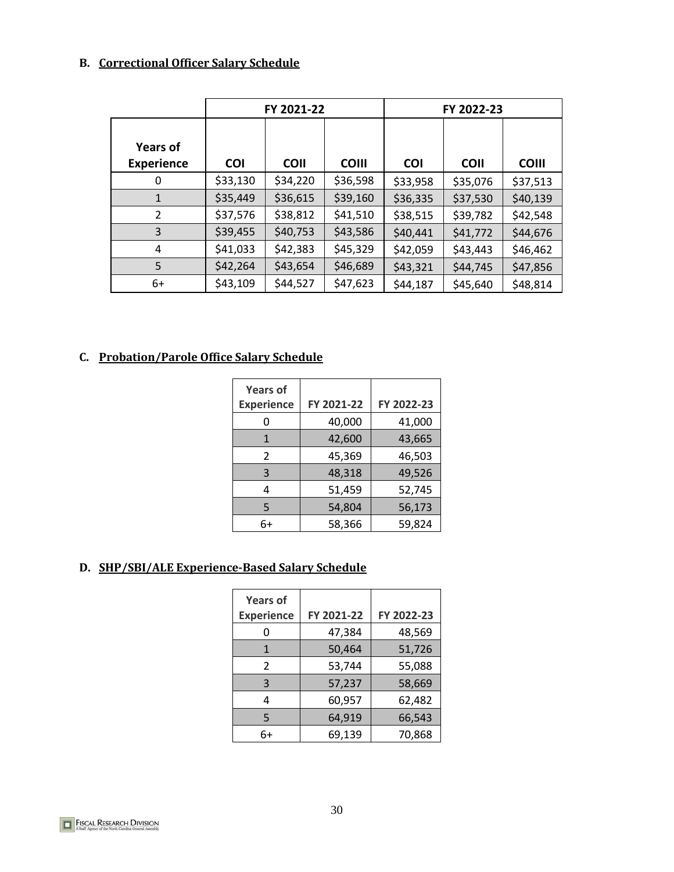# **B. Correctional Officer Salary Schedule**

|                                      | FY 2021-22 |             |              | FY 2022-23 |             |              |  |
|--------------------------------------|------------|-------------|--------------|------------|-------------|--------------|--|
| <b>Years of</b><br><b>Experience</b> | <b>COI</b> | <b>COII</b> | <b>COIII</b> | <b>COI</b> | <b>COII</b> | <b>COIII</b> |  |
| 0                                    | \$33,130   | \$34,220    | \$36,598     | \$33,958   | \$35,076    | \$37,513     |  |
| $\mathbf{1}$                         | \$35,449   | \$36,615    | \$39,160     | \$36,335   | \$37,530    | \$40,139     |  |
| 2                                    | \$37,576   | \$38,812    | \$41,510     | \$38,515   | \$39,782    | \$42,548     |  |
| 3                                    | \$39,455   | \$40,753    | \$43,586     | \$40,441   | \$41,772    | \$44,676     |  |
| 4                                    | \$41,033   | \$42,383    | \$45,329     | \$42,059   | \$43,443    | \$46,462     |  |
| 5                                    | \$42,264   | \$43,654    | \$46,689     | \$43,321   | \$44,745    | \$47,856     |  |
| 6+                                   | \$43,109   | \$44,527    | \$47,623     | \$44,187   | \$45,640    | \$48,814     |  |

# **C. Probation/Parole Office Salary Schedule**

| <b>Years of</b>   |            |            |
|-------------------|------------|------------|
| <b>Experience</b> | FY 2021-22 | FY 2022-23 |
|                   | 40,000     | 41,000     |
| $\mathbf{1}$      | 42,600     | 43,665     |
| $\mathcal{P}$     | 45,369     | 46,503     |
| 3                 | 48,318     | 49,526     |
| 4                 | 51,459     | 52,745     |
| 5                 | 54,804     | 56,173     |
| 6+                | 58,366     | 59,824     |

#### **D. SHP/SBI/ALE Experience-Based Salary Schedule**

| <b>Years of</b><br><b>Experience</b> | FY 2021-22 | FY 2022-23 |
|--------------------------------------|------------|------------|
| ი                                    | 47,384     | 48,569     |
| 1                                    | 50,464     | 51,726     |
| $\mathcal{P}$                        | 53,744     | 55,088     |
| 3                                    | 57,237     | 58,669     |
| 4                                    | 60,957     | 62,482     |
| 5                                    | 64,919     | 66,543     |
| 6+                                   | 69,139     | 70,868     |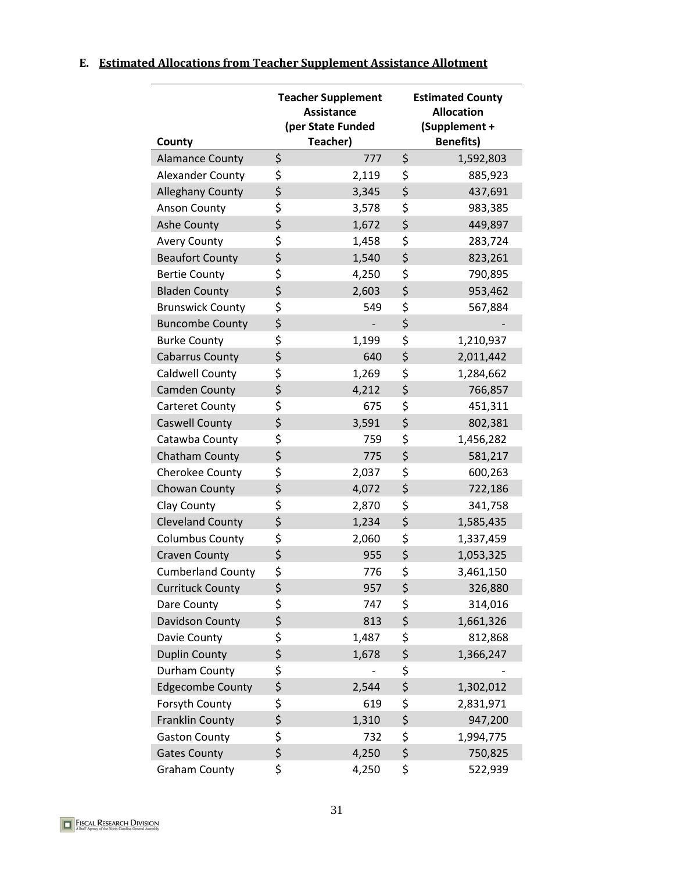|  |  |  | E. Estimated Allocations from Teacher Supplement Assistance Allotment |  |  |  |  |  |
|--|--|--|-----------------------------------------------------------------------|--|--|--|--|--|
|--|--|--|-----------------------------------------------------------------------|--|--|--|--|--|

| County                   | <b>Teacher Supplement</b><br><b>Assistance</b><br>(per State Funded<br>Teacher) |       |    | <b>Estimated County</b><br><b>Allocation</b><br>(Supplement +<br><b>Benefits)</b> |  |  |
|--------------------------|---------------------------------------------------------------------------------|-------|----|-----------------------------------------------------------------------------------|--|--|
| <b>Alamance County</b>   | \$                                                                              | 777   | \$ | 1,592,803                                                                         |  |  |
| <b>Alexander County</b>  | \$                                                                              | 2,119 | \$ | 885,923                                                                           |  |  |
| <b>Alleghany County</b>  | \$                                                                              | 3,345 | \$ | 437,691                                                                           |  |  |
| <b>Anson County</b>      | \$                                                                              | 3,578 | \$ | 983,385                                                                           |  |  |
| Ashe County              | \$                                                                              | 1,672 | \$ | 449,897                                                                           |  |  |
| <b>Avery County</b>      | \$                                                                              | 1,458 | \$ | 283,724                                                                           |  |  |
| <b>Beaufort County</b>   | \$                                                                              | 1,540 | \$ | 823,261                                                                           |  |  |
| <b>Bertie County</b>     | \$                                                                              | 4,250 | \$ | 790,895                                                                           |  |  |
| <b>Bladen County</b>     | \$                                                                              | 2,603 | \$ | 953,462                                                                           |  |  |
| <b>Brunswick County</b>  | \$                                                                              | 549   | \$ | 567,884                                                                           |  |  |
| <b>Buncombe County</b>   | \$                                                                              |       | \$ |                                                                                   |  |  |
| <b>Burke County</b>      | \$                                                                              | 1,199 | \$ | 1,210,937                                                                         |  |  |
| <b>Cabarrus County</b>   | \$                                                                              | 640   | \$ | 2,011,442                                                                         |  |  |
| <b>Caldwell County</b>   | \$                                                                              | 1,269 | \$ | 1,284,662                                                                         |  |  |
| <b>Camden County</b>     | \$                                                                              | 4,212 | \$ | 766,857                                                                           |  |  |
| Carteret County          | \$                                                                              | 675   | \$ | 451,311                                                                           |  |  |
| <b>Caswell County</b>    | \$                                                                              | 3,591 | \$ | 802,381                                                                           |  |  |
| Catawba County           | \$                                                                              | 759   | \$ | 1,456,282                                                                         |  |  |
| Chatham County           | \$                                                                              | 775   | \$ | 581,217                                                                           |  |  |
| Cherokee County          | \$                                                                              | 2,037 | \$ | 600,263                                                                           |  |  |
| Chowan County            | \$                                                                              | 4,072 | \$ | 722,186                                                                           |  |  |
| Clay County              | \$                                                                              | 2,870 | \$ | 341,758                                                                           |  |  |
| <b>Cleveland County</b>  | \$                                                                              | 1,234 | \$ | 1,585,435                                                                         |  |  |
| <b>Columbus County</b>   | \$                                                                              | 2,060 | \$ | 1,337,459                                                                         |  |  |
| <b>Craven County</b>     | \$                                                                              | 955   | \$ | 1,053,325                                                                         |  |  |
| <b>Cumberland County</b> | \$                                                                              | 776   | \$ | 3,461,150                                                                         |  |  |
| <b>Currituck County</b>  | \$                                                                              | 957   | \$ | 326,880                                                                           |  |  |
| Dare County              | \$                                                                              | 747   | \$ | 314,016                                                                           |  |  |
| Davidson County          | \$                                                                              | 813   | \$ | 1,661,326                                                                         |  |  |
| Davie County             | \$                                                                              | 1,487 | \$ | 812,868                                                                           |  |  |
| <b>Duplin County</b>     | \$                                                                              | 1,678 | \$ | 1,366,247                                                                         |  |  |
| Durham County            | \$                                                                              |       | \$ |                                                                                   |  |  |
| <b>Edgecombe County</b>  | \$                                                                              | 2,544 | \$ | 1,302,012                                                                         |  |  |
| Forsyth County           | \$                                                                              | 619   | \$ | 2,831,971                                                                         |  |  |
| <b>Franklin County</b>   | \$                                                                              | 1,310 | \$ | 947,200                                                                           |  |  |
| <b>Gaston County</b>     | \$                                                                              | 732   | \$ | 1,994,775                                                                         |  |  |
| <b>Gates County</b>      | \$                                                                              | 4,250 | \$ | 750,825                                                                           |  |  |
| <b>Graham County</b>     | \$                                                                              | 4,250 | \$ | 522,939                                                                           |  |  |

**FISCAL RESEARCH DIVISION**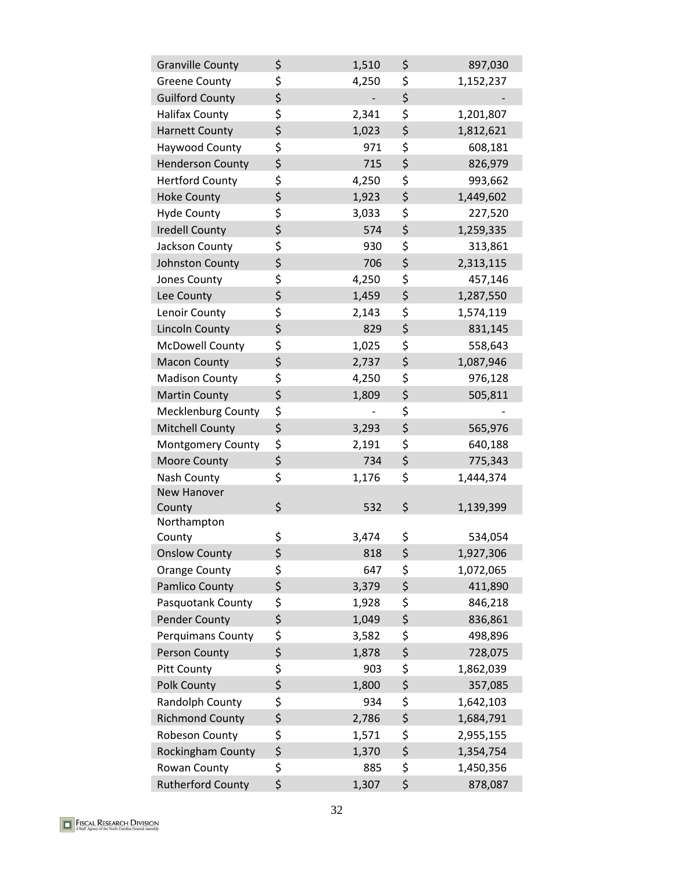| <b>Granville County</b>   | \$       | 1,510 | \$       | 897,030   |
|---------------------------|----------|-------|----------|-----------|
| <b>Greene County</b>      | \$       | 4,250 | \$       | 1,152,237 |
| <b>Guilford County</b>    | \$       |       | \$       |           |
| <b>Halifax County</b>     | \$       | 2,341 | \$       | 1,201,807 |
| <b>Harnett County</b>     | \$       | 1,023 | \$       | 1,812,621 |
| Haywood County            | \$       | 971   | \$       | 608,181   |
| <b>Henderson County</b>   | \$       | 715   | \$       | 826,979   |
| <b>Hertford County</b>    | \$       | 4,250 | \$       | 993,662   |
| <b>Hoke County</b>        | \$       | 1,923 | \$       | 1,449,602 |
| <b>Hyde County</b>        | \$       | 3,033 | \$       | 227,520   |
| <b>Iredell County</b>     | \$       | 574   | \$       | 1,259,335 |
| Jackson County            | \$       | 930   | \$       | 313,861   |
| Johnston County           | \$       | 706   | \$       | 2,313,115 |
| Jones County              | \$       | 4,250 | \$       | 457,146   |
| Lee County                | \$       | 1,459 | \$       | 1,287,550 |
| Lenoir County             | \$       | 2,143 | \$       | 1,574,119 |
| <b>Lincoln County</b>     | \$       | 829   | \$       | 831,145   |
| <b>McDowell County</b>    | \$       | 1,025 | \$       | 558,643   |
| <b>Macon County</b>       | \$       | 2,737 | \$       | 1,087,946 |
| <b>Madison County</b>     | \$       | 4,250 | \$       | 976,128   |
| <b>Martin County</b>      | \$       | 1,809 | \$       | 505,811   |
| <b>Mecklenburg County</b> | \$       |       | \$       |           |
| <b>Mitchell County</b>    | \$       | 3,293 | \$       | 565,976   |
| Montgomery County         | \$       | 2,191 | \$       | 640,188   |
| <b>Moore County</b>       | \$       | 734   | \$       | 775,343   |
| Nash County               | \$       | 1,176 | \$       | 1,444,374 |
| New Hanover               |          |       |          |           |
| County                    | \$       | 532   | \$       | 1,139,399 |
| Northampton               |          |       |          |           |
| County                    | \$       | 3,474 | \$       | 534,054   |
| <b>Onslow County</b>      | \$       | 818   | \$       | 1,927,306 |
| <b>Orange County</b>      | \$       | 647   | \$<br>\$ | 1,072,065 |
| <b>Pamlico County</b>     | \$       | 3,379 |          | 411,890   |
| Pasquotank County         | \$<br>\$ | 1,928 | \$<br>\$ | 846,218   |
| <b>Pender County</b>      |          | 1,049 |          | 836,861   |
| <b>Perquimans County</b>  | \$<br>\$ | 3,582 | \$<br>\$ | 498,896   |
| <b>Person County</b>      |          | 1,878 |          | 728,075   |
| Pitt County               | \$       | 903   | \$       | 1,862,039 |
| Polk County               | \$       | 1,800 | \$       | 357,085   |
| Randolph County           | \$       | 934   | \$       | 1,642,103 |
| <b>Richmond County</b>    | \$       | 2,786 | \$       | 1,684,791 |
| Robeson County            | \$       | 1,571 | \$       | 2,955,155 |
| Rockingham County         | \$       | 1,370 | \$       | 1,354,754 |
| Rowan County              | \$       | 885   | \$       | 1,450,356 |
| <b>Rutherford County</b>  | \$       | 1,307 | \$       | 878,087   |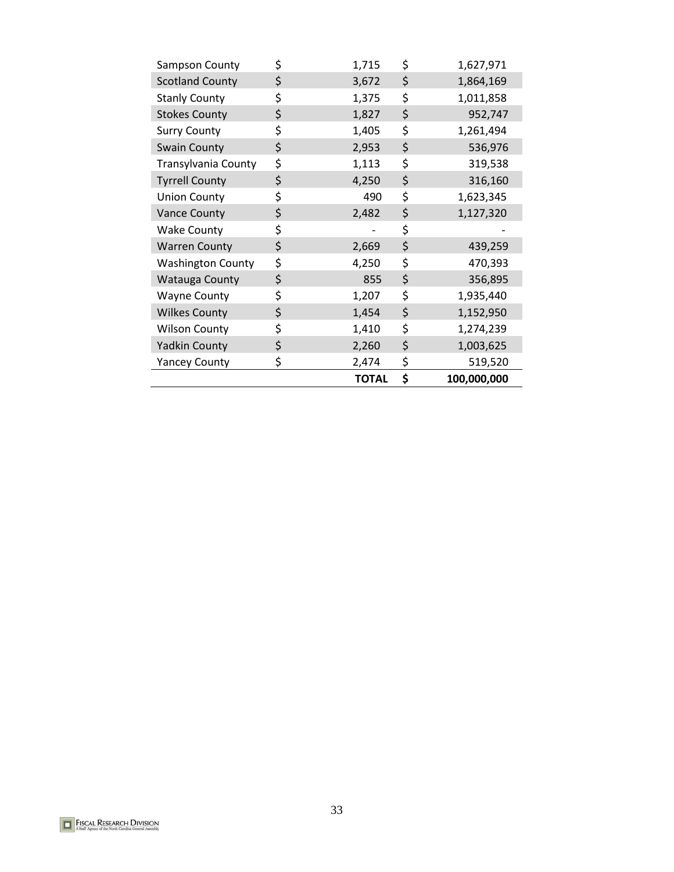|                          | <b>TOTAL</b> | \$<br>100,000,000 |
|--------------------------|--------------|-------------------|
| <b>Yancey County</b>     | \$<br>2,474  | \$<br>519,520     |
| <b>Yadkin County</b>     | \$<br>2,260  | \$<br>1,003,625   |
| <b>Wilson County</b>     | \$<br>1,410  | \$<br>1,274,239   |
| <b>Wilkes County</b>     | \$<br>1,454  | \$<br>1,152,950   |
| <b>Wayne County</b>      | \$<br>1,207  | \$<br>1,935,440   |
| <b>Watauga County</b>    | \$<br>855    | \$<br>356,895     |
| <b>Washington County</b> | \$<br>4,250  | \$<br>470,393     |
| <b>Warren County</b>     | \$<br>2,669  | \$<br>439,259     |
| <b>Wake County</b>       | \$           | \$                |
| <b>Vance County</b>      | \$<br>2,482  | \$<br>1,127,320   |
| <b>Union County</b>      | \$<br>490    | \$<br>1,623,345   |
| <b>Tyrrell County</b>    | \$<br>4,250  | \$<br>316,160     |
| Transylvania County      | \$<br>1,113  | \$<br>319,538     |
| <b>Swain County</b>      | \$<br>2,953  | \$<br>536,976     |
| <b>Surry County</b>      | \$<br>1,405  | \$<br>1,261,494   |
| <b>Stokes County</b>     | \$<br>1,827  | \$<br>952,747     |
| <b>Stanly County</b>     | \$<br>1,375  | \$<br>1,011,858   |
| <b>Scotland County</b>   | \$<br>3,672  | \$<br>1,864,169   |
| Sampson County           | \$<br>1,715  | \$<br>1,627,971   |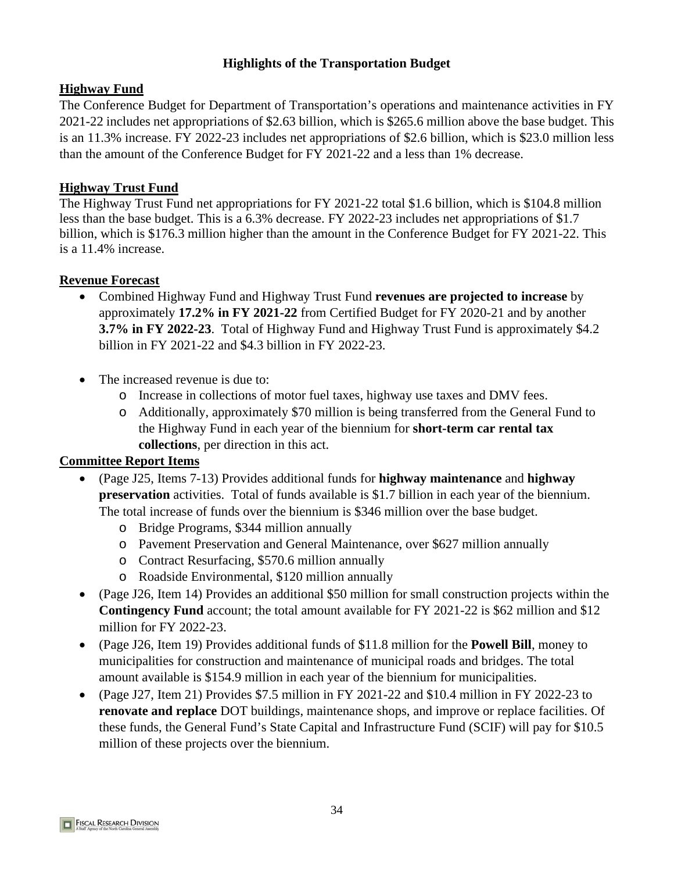# **Highlights of the Transportation Budget**

# **Highway Fund**

The Conference Budget for Department of Transportation's operations and maintenance activities in FY 2021-22 includes net appropriations of \$2.63 billion, which is \$265.6 million above the base budget. This is an 11.3% increase. FY 2022-23 includes net appropriations of \$2.6 billion, which is \$23.0 million less than the amount of the Conference Budget for FY 2021-22 and a less than 1% decrease.

# **Highway Trust Fund**

The Highway Trust Fund net appropriations for FY 2021-22 total \$1.6 billion, which is \$104.8 million less than the base budget. This is a 6.3% decrease. FY 2022-23 includes net appropriations of \$1.7 billion, which is \$176.3 million higher than the amount in the Conference Budget for FY 2021-22. This is a 11.4% increase.

# **Revenue Forecast**

- Combined Highway Fund and Highway Trust Fund **revenues are projected to increase** by approximately **17.2% in FY 2021-22** from Certified Budget for FY 2020-21 and by another **3.7% in FY 2022-23**. Total of Highway Fund and Highway Trust Fund is approximately \$4.2 billion in FY 2021-22 and \$4.3 billion in FY 2022-23.
- The increased revenue is due to:
	- o Increase in collections of motor fuel taxes, highway use taxes and DMV fees.
	- o Additionally, approximately \$70 million is being transferred from the General Fund to the Highway Fund in each year of the biennium for **short-term car rental tax collections**, per direction in this act.

- (Page J25, Items 7-13) Provides additional funds for **highway maintenance** and **highway preservation** activities. Total of funds available is \$1.7 billion in each year of the biennium. The total increase of funds over the biennium is \$346 million over the base budget.
	- o Bridge Programs, \$344 million annually
	- o Pavement Preservation and General Maintenance, over \$627 million annually
	- o Contract Resurfacing, \$570.6 million annually
	- o Roadside Environmental, \$120 million annually
- (Page J26, Item 14) Provides an additional \$50 million for small construction projects within the **Contingency Fund** account; the total amount available for FY 2021-22 is \$62 million and \$12 million for FY 2022-23.
- (Page J26, Item 19) Provides additional funds of \$11.8 million for the **Powell Bill**, money to municipalities for construction and maintenance of municipal roads and bridges. The total amount available is \$154.9 million in each year of the biennium for municipalities.
- (Page J27, Item 21) Provides \$7.5 million in FY 2021-22 and \$10.4 million in FY 2022-23 to **renovate and replace** DOT buildings, maintenance shops, and improve or replace facilities. Of these funds, the General Fund's State Capital and Infrastructure Fund (SCIF) will pay for \$10.5 million of these projects over the biennium.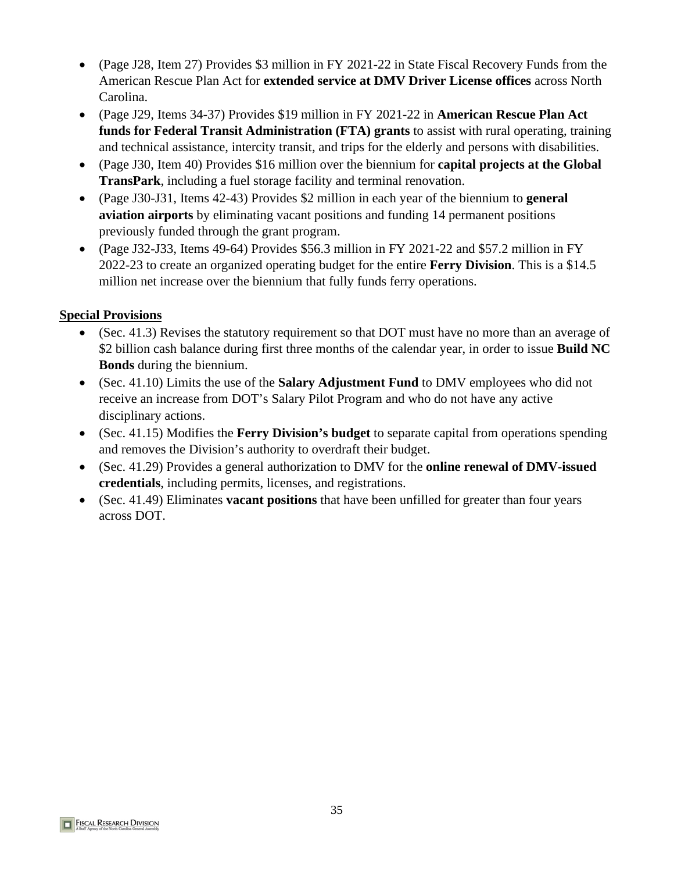- (Page J28, Item 27) Provides \$3 million in FY 2021-22 in State Fiscal Recovery Funds from the American Rescue Plan Act for **extended service at DMV Driver License offices** across North Carolina.
- (Page J29, Items 34-37) Provides \$19 million in FY 2021-22 in **American Rescue Plan Act funds for Federal Transit Administration (FTA) grants** to assist with rural operating, training and technical assistance, intercity transit, and trips for the elderly and persons with disabilities.
- (Page J30, Item 40) Provides \$16 million over the biennium for **capital projects at the Global TransPark**, including a fuel storage facility and terminal renovation.
- (Page J30-J31, Items 42-43) Provides \$2 million in each year of the biennium to **general aviation airports** by eliminating vacant positions and funding 14 permanent positions previously funded through the grant program.
- (Page J32-J33, Items 49-64) Provides \$56.3 million in FY 2021-22 and \$57.2 million in FY 2022-23 to create an organized operating budget for the entire **Ferry Division**. This is a \$14.5 million net increase over the biennium that fully funds ferry operations.

- (Sec. 41.3) Revises the statutory requirement so that DOT must have no more than an average of \$2 billion cash balance during first three months of the calendar year, in order to issue **Build NC Bonds** during the biennium.
- (Sec. 41.10) Limits the use of the **Salary Adjustment Fund** to DMV employees who did not receive an increase from DOT's Salary Pilot Program and who do not have any active disciplinary actions.
- (Sec. 41.15) Modifies the **Ferry Division's budget** to separate capital from operations spending and removes the Division's authority to overdraft their budget.
- (Sec. 41.29) Provides a general authorization to DMV for the **online renewal of DMV-issued credentials**, including permits, licenses, and registrations.
- (Sec. 41.49) Eliminates **vacant positions** that have been unfilled for greater than four years across DOT.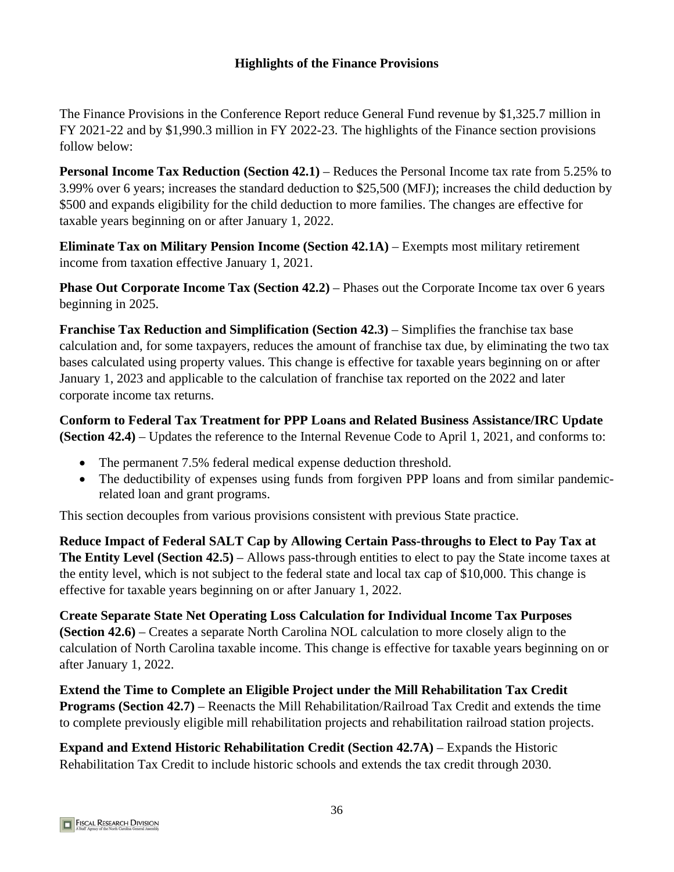# **Highlights of the Finance Provisions**

The Finance Provisions in the Conference Budget reduce General Fund revenue by \$1,325.7 million in FY 2021-22 and by \$1,990.3 million in FY 2022-23. The highlights of the Finance section provisions follow below:

**Personal Income Tax Reduction (Section 42.1)** – Reduces the Personal Income tax rate from 5.25% to 3.99% over 6 years; increases the standard deduction to \$25,500 (MFJ); increases the child deduction by \$500 and expands eligibility for the child deduction to more families. The changes are effective for taxable years beginning on or after January 1, 2022.

**Eliminate Tax on Military Pension Income (Section 42.1A) – Exempts most military retirement** income from taxation effective January 1, 2021.

**Phase Out Corporate Income Tax (Section 42.2) – Phases out the Corporate Income tax over 6 years** beginning in 2025.

**Franchise Tax Reduction and Simplification (Section 42.3)** – Simplifies the franchise tax base calculation and, for some taxpayers, reduces the amount of franchise tax due, by eliminating the two tax bases calculated using property values. This change is effective for taxable years beginning on or after January 1, 2023 and applicable to the calculation of franchise tax reported on the 2022 and later corporate income tax returns.

**Conform to Federal Tax Treatment for PPP Loans and Related Business Assistance/IRC Update (Section 42.4)** – Updates the reference to the Internal Revenue Code to April 1, 2021, and conforms to:

- The permanent 7.5% federal medical expense deduction threshold.
- The deductibility of expenses using funds from forgiven PPP loans and from similar pandemicrelated loan and grant programs.

This section decouples from various provisions consistent with previous State practice.

**Reduce Impact of Federal SALT Cap by Allowing Certain Pass-throughs to Elect to Pay Tax at The Entity Level (Section 42.5)** – Allows pass-through entities to elect to pay the State income taxes at the entity level, which is not subject to the federal state and local tax cap of \$10,000. This change is effective for taxable years beginning on or after January 1, 2022.

**Create Separate State Net Operating Loss Calculation for Individual Income Tax Purposes (Section 42.6)** – Creates a separate North Carolina NOL calculation to more closely align to the calculation of North Carolina taxable income. This change is effective for taxable years beginning on or after January 1, 2022.

**Extend the Time to Complete an Eligible Project under the Mill Rehabilitation Tax Credit Programs (Section 42.7)** – Reenacts the Mill Rehabilitation/Railroad Tax Credit and extends the time to complete previously eligible mill rehabilitation projects and rehabilitation railroad station projects.

**Expand and Extend Historic Rehabilitation Credit (Section 42.7A) – Expands the Historic** Rehabilitation Tax Credit to include historic schools and extends the tax credit through 2030.